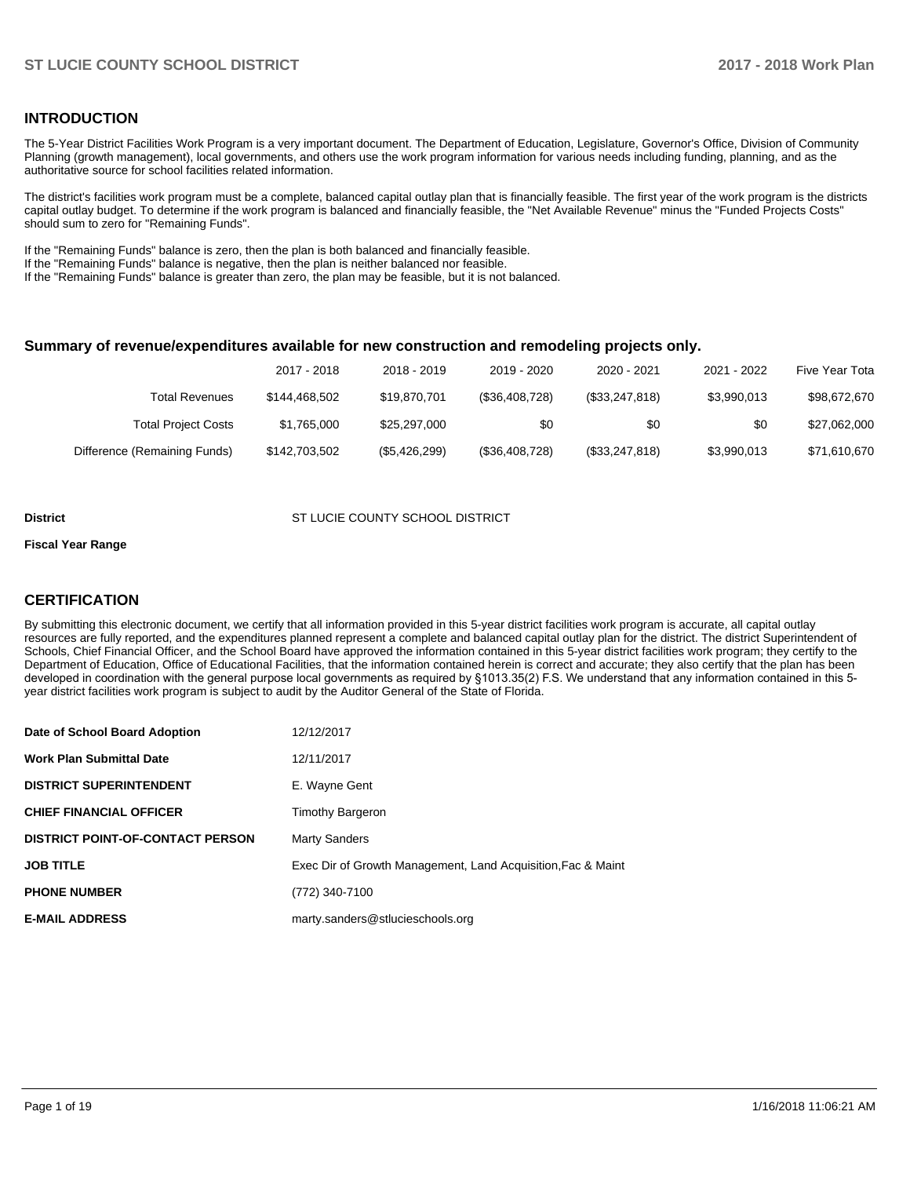## **INTRODUCTION**

The 5-Year District Facilities Work Program is a very important document. The Department of Education, Legislature, Governor's Office, Division of Community Planning (growth management), local governments, and others use the work program information for various needs including funding, planning, and as the authoritative source for school facilities related information.

The district's facilities work program must be a complete, balanced capital outlay plan that is financially feasible. The first year of the work program is the districts capital outlay budget. To determine if the work program is balanced and financially feasible, the "Net Available Revenue" minus the "Funded Projects Costs" should sum to zero for "Remaining Funds".

If the "Remaining Funds" balance is zero, then the plan is both balanced and financially feasible.

If the "Remaining Funds" balance is negative, then the plan is neither balanced nor feasible.

If the "Remaining Funds" balance is greater than zero, the plan may be feasible, but it is not balanced.

#### **Summary of revenue/expenditures available for new construction and remodeling projects only.**

| Five Year Tota | 2021 - 2022 | 2020 - 2021    | 2019 - 2020    | 2018 - 2019   | 2017 - 2018   |                              |
|----------------|-------------|----------------|----------------|---------------|---------------|------------------------------|
| \$98,672,670   | \$3,990,013 | (\$33,247,818) | (\$36,408,728) | \$19,870,701  | \$144,468,502 | Total Revenues               |
| \$27,062,000   | \$0         | \$0            | \$0            | \$25,297,000  | \$1,765,000   | <b>Total Project Costs</b>   |
| \$71,610,670   | \$3,990,013 | (\$33,247,818) | (\$36,408,728) | (\$5,426,299) | \$142,703,502 | Difference (Remaining Funds) |

#### **District COUNTY SCHOOL DISTRICT SCHOOL DISTRICT**

#### **Fiscal Year Range**

# **CERTIFICATION**

By submitting this electronic document, we certify that all information provided in this 5-year district facilities work program is accurate, all capital outlay resources are fully reported, and the expenditures planned represent a complete and balanced capital outlay plan for the district. The district Superintendent of Schools, Chief Financial Officer, and the School Board have approved the information contained in this 5-year district facilities work program; they certify to the Department of Education, Office of Educational Facilities, that the information contained herein is correct and accurate; they also certify that the plan has been developed in coordination with the general purpose local governments as required by §1013.35(2) F.S. We understand that any information contained in this 5year district facilities work program is subject to audit by the Auditor General of the State of Florida.

| Date of School Board Adoption           | 12/12/2017                                                   |
|-----------------------------------------|--------------------------------------------------------------|
| <b>Work Plan Submittal Date</b>         | 12/11/2017                                                   |
| <b>DISTRICT SUPERINTENDENT</b>          | E. Wayne Gent                                                |
| <b>CHIEF FINANCIAL OFFICER</b>          | <b>Timothy Bargeron</b>                                      |
| <b>DISTRICT POINT-OF-CONTACT PERSON</b> | <b>Marty Sanders</b>                                         |
| <b>JOB TITLE</b>                        | Exec Dir of Growth Management, Land Acquisition, Fac & Maint |
| <b>PHONE NUMBER</b>                     | (772) 340-7100                                               |
| <b>E-MAIL ADDRESS</b>                   | marty.sanders@stlucieschools.org                             |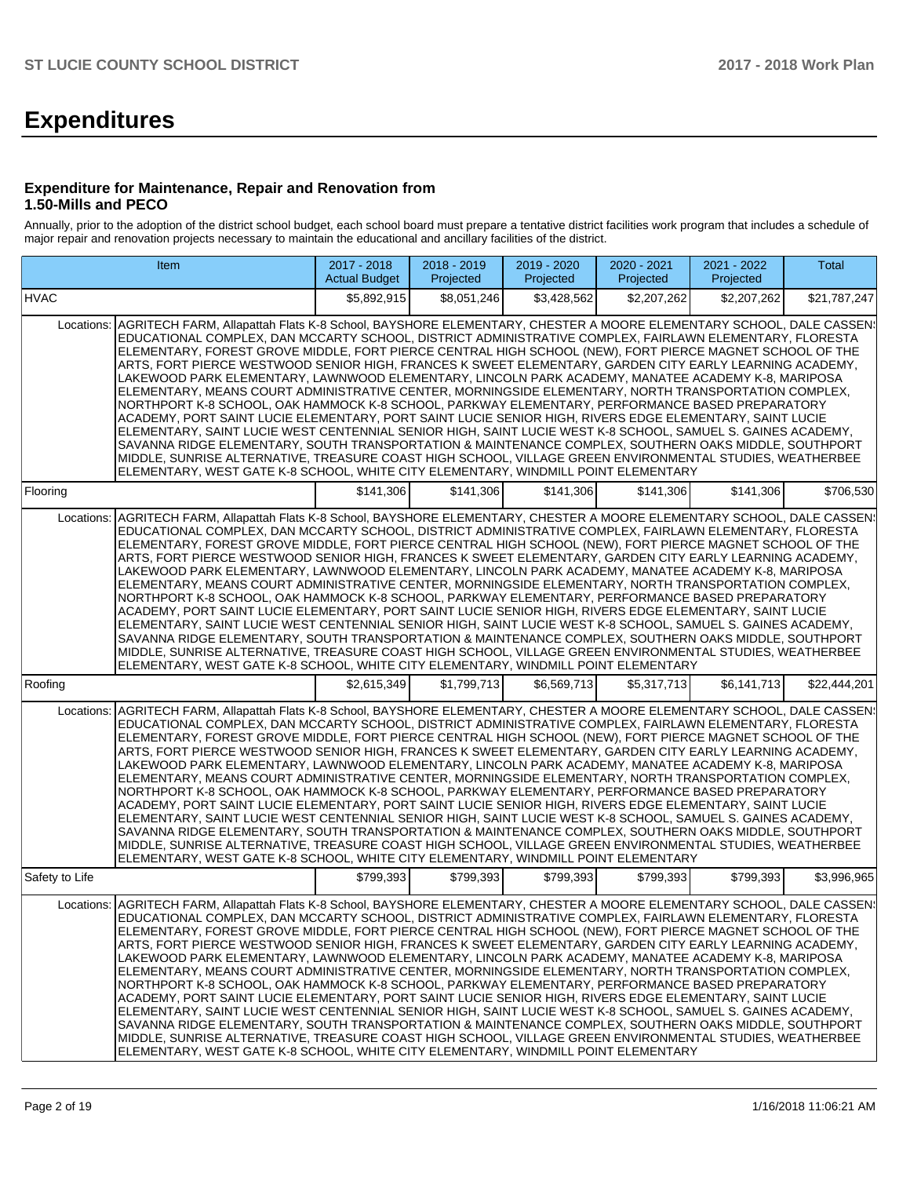# **Expenditures**

### **Expenditure for Maintenance, Repair and Renovation from 1.50-Mills and PECO**

Annually, prior to the adoption of the district school budget, each school board must prepare a tentative district facilities work program that includes a schedule of major repair and renovation projects necessary to maintain the educational and ancillary facilities of the district.

|                | Item                                                                                                                                                                                                                                                                                                                                                                                                                                                                                                                                                                                                                                                                                                                                                                                                                                                                                                                                                                                                                                                                                                                                                                                                                                                                                                     | 2017 - 2018<br><b>Actual Budget</b> | 2018 - 2019<br>Projected | 2019 - 2020<br>Projected | 2020 - 2021<br>Projected | 2021 - 2022<br>Projected | Total        |
|----------------|----------------------------------------------------------------------------------------------------------------------------------------------------------------------------------------------------------------------------------------------------------------------------------------------------------------------------------------------------------------------------------------------------------------------------------------------------------------------------------------------------------------------------------------------------------------------------------------------------------------------------------------------------------------------------------------------------------------------------------------------------------------------------------------------------------------------------------------------------------------------------------------------------------------------------------------------------------------------------------------------------------------------------------------------------------------------------------------------------------------------------------------------------------------------------------------------------------------------------------------------------------------------------------------------------------|-------------------------------------|--------------------------|--------------------------|--------------------------|--------------------------|--------------|
| <b>HVAC</b>    |                                                                                                                                                                                                                                                                                                                                                                                                                                                                                                                                                                                                                                                                                                                                                                                                                                                                                                                                                                                                                                                                                                                                                                                                                                                                                                          | \$5,892,915                         | \$8,051,246              | \$3,428,562              | \$2,207,262              | \$2,207,262              | \$21,787,247 |
| Locations:     | AGRITECH FARM, Allapattah Flats K-8 School, BAYSHORE ELEMENTARY, CHESTER A MOORE ELEMENTARY SCHOOL, DALE CASSEN!<br>EDUCATIONAL COMPLEX, DAN MCCARTY SCHOOL, DISTRICT ADMINISTRATIVE COMPLEX, FAIRLAWN ELEMENTARY, FLORESTA<br>ELEMENTARY, FOREST GROVE MIDDLE, FORT PIERCE CENTRAL HIGH SCHOOL (NEW), FORT PIERCE MAGNET SCHOOL OF THE<br>ARTS, FORT PIERCE WESTWOOD SENIOR HIGH, FRANCES K SWEET ELEMENTARY, GARDEN CITY EARLY LEARNING ACADEMY,<br>LAKEWOOD PARK ELEMENTARY, LAWNWOOD ELEMENTARY, LINCOLN PARK ACADEMY, MANATEE ACADEMY K-8, MARIPOSA<br>ELEMENTARY, MEANS COURT ADMINISTRATIVE CENTER, MORNINGSIDE ELEMENTARY, NORTH TRANSPORTATION COMPLEX,<br>NORTHPORT K-8 SCHOOL, OAK HAMMOCK K-8 SCHOOL, PARKWAY ELEMENTARY, PERFORMANCE BASED PREPARATORY<br>ACADEMY, PORT SAINT LUCIE ELEMENTARY, PORT SAINT LUCIE SENIOR HIGH, RIVERS EDGE ELEMENTARY, SAINT LUCIE<br>ELEMENTARY, SAINT LUCIE WEST CENTENNIAL SENIOR HIGH, SAINT LUCIE WEST K-8 SCHOOL, SAMUEL S, GAINES ACADEMY,<br>SAVANNA RIDGE ELEMENTARY, SOUTH TRANSPORTATION & MAINTENANCE COMPLEX, SOUTHERN OAKS MIDDLE, SOUTHPORT<br>MIDDLE, SUNRISE ALTERNATIVE, TREASURE COAST HIGH SCHOOL, VILLAGE GREEN ENVIRONMENTAL STUDIES, WEATHERBEE<br>ELEMENTARY, WEST GATE K-8 SCHOOL, WHITE CITY ELEMENTARY, WINDMILL POINT ELEMENTARY |                                     |                          |                          |                          |                          |              |
| Flooring       |                                                                                                                                                                                                                                                                                                                                                                                                                                                                                                                                                                                                                                                                                                                                                                                                                                                                                                                                                                                                                                                                                                                                                                                                                                                                                                          | \$141,306                           | \$141,306                | \$141,306                | \$141,306                | \$141,306                | \$706,530    |
| Locations:     | AGRITECH FARM, Allapattah Flats K-8 School, BAYSHORE ELEMENTARY, CHESTER A MOORE ELEMENTARY SCHOOL, DALE CASSEN!<br>EDUCATIONAL COMPLEX, DAN MCCARTY SCHOOL, DISTRICT ADMINISTRATIVE COMPLEX, FAIRLAWN ELEMENTARY, FLORESTA<br>ELEMENTARY, FOREST GROVE MIDDLE, FORT PIERCE CENTRAL HIGH SCHOOL (NEW), FORT PIERCE MAGNET SCHOOL OF THE<br>ARTS, FORT PIERCE WESTWOOD SENIOR HIGH, FRANCES K SWEET ELEMENTARY, GARDEN CITY EARLY LEARNING ACADEMY,<br>LAKEWOOD PARK ELEMENTARY, LAWNWOOD ELEMENTARY, LINCOLN PARK ACADEMY, MANATEE ACADEMY K-8, MARIPOSA<br>ELEMENTARY, MEANS COURT ADMINISTRATIVE CENTER, MORNINGSIDE ELEMENTARY, NORTH TRANSPORTATION COMPLEX,<br>NORTHPORT K-8 SCHOOL, OAK HAMMOCK K-8 SCHOOL, PARKWAY ELEMENTARY, PERFORMANCE BASED PREPARATORY<br>ACADEMY, PORT SAINT LUCIE ELEMENTARY, PORT SAINT LUCIE SENIOR HIGH, RIVERS EDGE ELEMENTARY, SAINT LUCIE<br>ELEMENTARY, SAINT LUCIE WEST CENTENNIAL SENIOR HIGH, SAINT LUCIE WEST K-8 SCHOOL, SAMUEL S. GAINES ACADEMY,<br>SAVANNA RIDGE ELEMENTARY, SOUTH TRANSPORTATION & MAINTENANCE COMPLEX, SOUTHERN OAKS MIDDLE, SOUTHPORT<br>MIDDLE, SUNRISE ALTERNATIVE, TREASURE COAST HIGH SCHOOL, VILLAGE GREEN ENVIRONMENTAL STUDIES, WEATHERBEE<br>ELEMENTARY, WEST GATE K-8 SCHOOL, WHITE CITY ELEMENTARY, WINDMILL POINT ELEMENTARY |                                     |                          |                          |                          |                          |              |
| Roofing        |                                                                                                                                                                                                                                                                                                                                                                                                                                                                                                                                                                                                                                                                                                                                                                                                                                                                                                                                                                                                                                                                                                                                                                                                                                                                                                          | \$2,615,349                         | \$1.799.713              | \$6,569,713              | \$5,317,713              | \$6,141,713              | \$22,444,201 |
| Locations:     | AGRITECH FARM, Allapattah Flats K-8 School, BAYSHORE ELEMENTARY, CHESTER A MOORE ELEMENTARY SCHOOL, DALE CASSEN:<br>EDUCATIONAL COMPLEX, DAN MCCARTY SCHOOL, DISTRICT ADMINISTRATIVE COMPLEX, FAIRLAWN ELEMENTARY, FLORESTA<br>ELEMENTARY, FOREST GROVE MIDDLE, FORT PIERCE CENTRAL HIGH SCHOOL (NEW), FORT PIERCE MAGNET SCHOOL OF THE<br>ARTS, FORT PIERCE WESTWOOD SENIOR HIGH, FRANCES K SWEET ELEMENTARY, GARDEN CITY EARLY LEARNING ACADEMY,<br>LAKEWOOD PARK ELEMENTARY, LAWNWOOD ELEMENTARY, LINCOLN PARK ACADEMY, MANATEE ACADEMY K-8, MARIPOSA<br>ELEMENTARY, MEANS COURT ADMINISTRATIVE CENTER, MORNINGSIDE ELEMENTARY, NORTH TRANSPORTATION COMPLEX,<br>NORTHPORT K-8 SCHOOL, OAK HAMMOCK K-8 SCHOOL, PARKWAY ELEMENTARY, PERFORMANCE BASED PREPARATORY<br>ACADEMY, PORT SAINT LUCIE ELEMENTARY, PORT SAINT LUCIE SENIOR HIGH, RIVERS EDGE ELEMENTARY, SAINT LUCIE<br>ELEMENTARY, SAINT LUCIE WEST CENTENNIAL SENIOR HIGH, SAINT LUCIE WEST K-8 SCHOOL, SAMUEL S. GAINES ACADEMY,<br>SAVANNA RIDGE ELEMENTARY, SOUTH TRANSPORTATION & MAINTENANCE COMPLEX, SOUTHERN OAKS MIDDLE, SOUTHPORT<br>MIDDLE, SUNRISE ALTERNATIVE, TREASURE COAST HIGH SCHOOL, VILLAGE GREEN ENVIRONMENTAL STUDIES, WEATHERBEE<br>ELEMENTARY, WEST GATE K-8 SCHOOL, WHITE CITY ELEMENTARY, WINDMILL POINT ELEMENTARY |                                     |                          |                          |                          |                          |              |
| Safety to Life |                                                                                                                                                                                                                                                                                                                                                                                                                                                                                                                                                                                                                                                                                                                                                                                                                                                                                                                                                                                                                                                                                                                                                                                                                                                                                                          | \$799,393                           | \$799,393                | \$799,393                | \$799,393                | \$799,393                | \$3,996,965  |
| Locations:     | AGRITECH FARM, Allapattah Flats K-8 School, BAYSHORE ELEMENTARY, CHESTER A MOORE ELEMENTARY SCHOOL, DALE CASSEN!<br>EDUCATIONAL COMPLEX, DAN MCCARTY SCHOOL, DISTRICT ADMINISTRATIVE COMPLEX, FAIRLAWN ELEMENTARY, FLORESTA<br>ELEMENTARY, FOREST GROVE MIDDLE, FORT PIERCE CENTRAL HIGH SCHOOL (NEW), FORT PIERCE MAGNET SCHOOL OF THE<br>ARTS, FORT PIERCE WESTWOOD SENIOR HIGH, FRANCES K SWEET ELEMENTARY, GARDEN CITY EARLY LEARNING ACADEMY,<br>LAKEWOOD PARK ELEMENTARY, LAWNWOOD ELEMENTARY, LINCOLN PARK ACADEMY, MANATEE ACADEMY K-8, MARIPOSA<br>ELEMENTARY, MEANS COURT ADMINISTRATIVE CENTER, MORNINGSIDE ELEMENTARY, NORTH TRANSPORTATION COMPLEX,<br>NORTHPORT K-8 SCHOOL. OAK HAMMOCK K-8 SCHOOL. PARKWAY ELEMENTARY. PERFORMANCE BASED PREPARATORY<br>ACADEMY, PORT SAINT LUCIE ELEMENTARY, PORT SAINT LUCIE SENIOR HIGH, RIVERS EDGE ELEMENTARY, SAINT LUCIE<br>ELEMENTARY, SAINT LUCIE WEST CENTENNIAL SENIOR HIGH, SAINT LUCIE WEST K-8 SCHOOL, SAMUEL S. GAINES ACADEMY,<br>SAVANNA RIDGE ELEMENTARY, SOUTH TRANSPORTATION & MAINTENANCE COMPLEX, SOUTHERN OAKS MIDDLE, SOUTHPORT<br>MIDDLE, SUNRISE ALTERNATIVE, TREASURE COAST HIGH SCHOOL, VILLAGE GREEN ENVIRONMENTAL STUDIES, WEATHERBEE<br>ELEMENTARY, WEST GATE K-8 SCHOOL, WHITE CITY ELEMENTARY, WINDMILL POINT ELEMENTARY |                                     |                          |                          |                          |                          |              |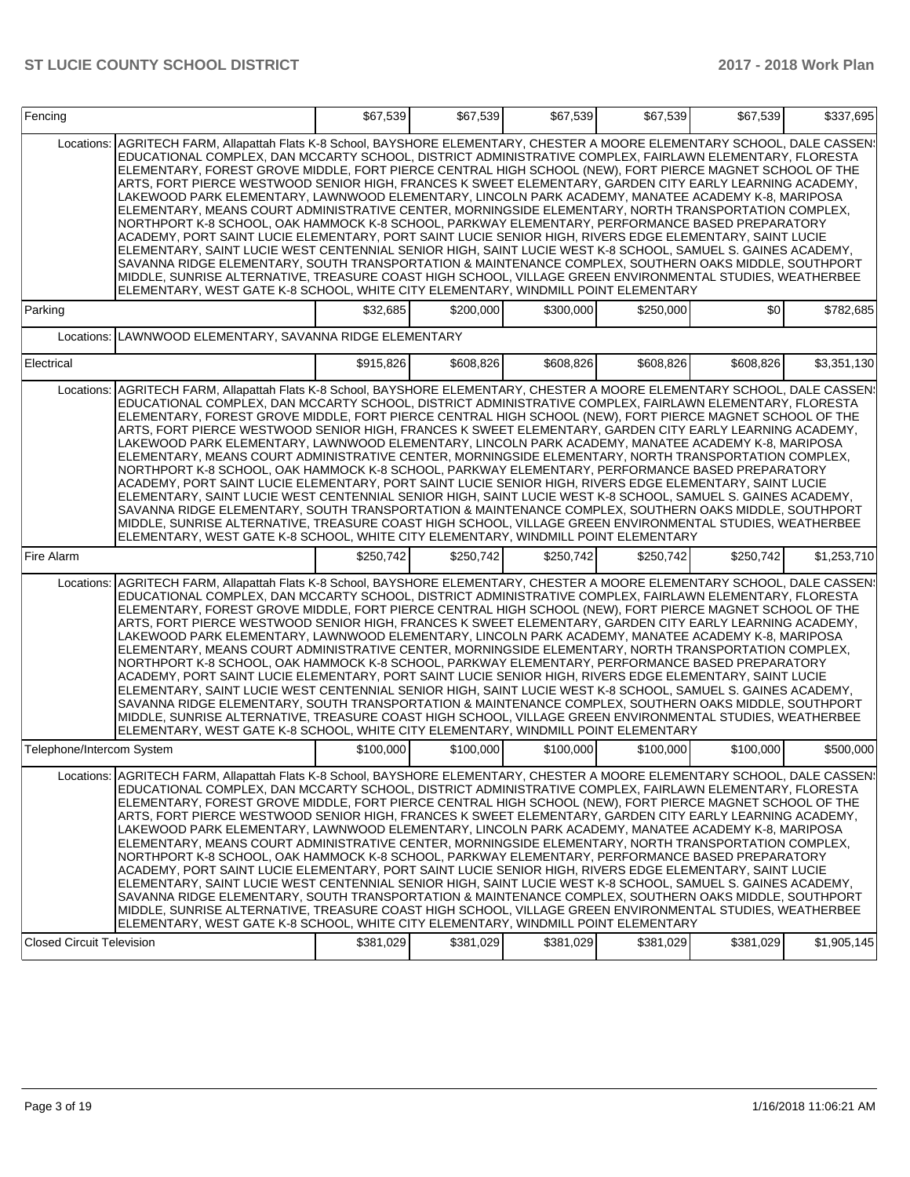| Locations:                       | AGRITECH FARM, Allapattah Flats K-8 School, BAYSHORE ELEMENTARY, CHESTER A MOORE ELEMENTARY SCHOOL, DALE CASSEN:<br>EDUCATIONAL COMPLEX, DAN MCCARTY SCHOOL, DISTRICT ADMINISTRATIVE COMPLEX, FAIRLAWN ELEMENTARY, FLORESTA<br>ELEMENTARY, FOREST GROVE MIDDLE, FORT PIERCE CENTRAL HIGH SCHOOL (NEW), FORT PIERCE MAGNET SCHOOL OF THE<br>ARTS, FORT PIERCE WESTWOOD SENIOR HIGH, FRANCES K SWEET ELEMENTARY, GARDEN CITY EARLY LEARNING ACADEMY,<br>LAKEWOOD PARK ELEMENTARY, LAWNWOOD ELEMENTARY, LINCOLN PARK ACADEMY, MANATEE ACADEMY K-8, MARIPOSA                                                                                                                                                                                                                                                                                                                                                                                                                                                                                                                                                                                                                                                                                                                                                            |           |           |           |           |           |             |
|----------------------------------|---------------------------------------------------------------------------------------------------------------------------------------------------------------------------------------------------------------------------------------------------------------------------------------------------------------------------------------------------------------------------------------------------------------------------------------------------------------------------------------------------------------------------------------------------------------------------------------------------------------------------------------------------------------------------------------------------------------------------------------------------------------------------------------------------------------------------------------------------------------------------------------------------------------------------------------------------------------------------------------------------------------------------------------------------------------------------------------------------------------------------------------------------------------------------------------------------------------------------------------------------------------------------------------------------------------------|-----------|-----------|-----------|-----------|-----------|-------------|
|                                  | ELEMENTARY, MEANS COURT ADMINISTRATIVE CENTER, MORNINGSIDE ELEMENTARY, NORTH TRANSPORTATION COMPLEX,<br>NORTHPORT K-8 SCHOOL, OAK HAMMOCK K-8 SCHOOL, PARKWAY ELEMENTARY, PERFORMANCE BASED PREPARATORY<br>ACADEMY, PORT SAINT LUCIE ELEMENTARY, PORT SAINT LUCIE SENIOR HIGH, RIVERS EDGE ELEMENTARY, SAINT LUCIE<br>ELEMENTARY, SAINT LUCIE WEST CENTENNIAL SENIOR HIGH, SAINT LUCIE WEST K-8 SCHOOL, SAMUEL S. GAINES ACADEMY,<br>SAVANNA RIDGE ELEMENTARY, SOUTH TRANSPORTATION & MAINTENANCE COMPLEX, SOUTHERN OAKS MIDDLE, SOUTHPORT<br>MIDDLE, SUNRISE ALTERNATIVE, TREASURE COAST HIGH SCHOOL, VILLAGE GREEN ENVIRONMENTAL STUDIES, WEATHERBEE<br>ELEMENTARY, WEST GATE K-8 SCHOOL, WHITE CITY ELEMENTARY, WINDMILL POINT ELEMENTARY                                                                                                                                                                                                                                                                                                                                                                                                                                                                                                                                                                        |           |           |           |           |           |             |
| Parking                          |                                                                                                                                                                                                                                                                                                                                                                                                                                                                                                                                                                                                                                                                                                                                                                                                                                                                                                                                                                                                                                                                                                                                                                                                                                                                                                                     | \$32,685  | \$200,000 | \$300,000 | \$250,000 | \$0       | \$782,685   |
| Locations:                       | LAWNWOOD ELEMENTARY, SAVANNA RIDGE ELEMENTARY                                                                                                                                                                                                                                                                                                                                                                                                                                                                                                                                                                                                                                                                                                                                                                                                                                                                                                                                                                                                                                                                                                                                                                                                                                                                       |           |           |           |           |           |             |
| Electrical                       |                                                                                                                                                                                                                                                                                                                                                                                                                                                                                                                                                                                                                                                                                                                                                                                                                                                                                                                                                                                                                                                                                                                                                                                                                                                                                                                     | \$915,826 | \$608,826 | \$608,826 | \$608,826 | \$608,826 | \$3,351,130 |
|                                  | Locations: AGRITECH FARM, Allapattah Flats K-8 School, BAYSHORE ELEMENTARY, CHESTER A MOORE ELEMENTARY SCHOOL, DALE CASSEN!<br>EDUCATIONAL COMPLEX, DAN MCCARTY SCHOOL, DISTRICT ADMINISTRATIVE COMPLEX, FAIRLAWN ELEMENTARY, FLORESTA<br>ELEMENTARY, FOREST GROVE MIDDLE, FORT PIERCE CENTRAL HIGH SCHOOL (NEW), FORT PIERCE MAGNET SCHOOL OF THE<br>ARTS, FORT PIERCE WESTWOOD SENIOR HIGH, FRANCES K SWEET ELEMENTARY, GARDEN CITY EARLY LEARNING ACADEMY,<br>LAKEWOOD PARK ELEMENTARY, LAWNWOOD ELEMENTARY, LINCOLN PARK ACADEMY, MANATEE ACADEMY K-8, MARIPOSA<br>ELEMENTARY, MEANS COURT ADMINISTRATIVE CENTER, MORNINGSIDE ELEMENTARY, NORTH TRANSPORTATION COMPLEX,<br>NORTHPORT K-8 SCHOOL, OAK HAMMOCK K-8 SCHOOL, PARKWAY ELEMENTARY, PERFORMANCE BASED PREPARATORY<br>ACADEMY, PORT SAINT LUCIE ELEMENTARY, PORT SAINT LUCIE SENIOR HIGH, RIVERS EDGE ELEMENTARY, SAINT LUCIE<br>ELEMENTARY, SAINT LUCIE WEST CENTENNIAL SENIOR HIGH, SAINT LUCIE WEST K-8 SCHOOL, SAMUEL S. GAINES ACADEMY,<br>SAVANNA RIDGE ELEMENTARY, SOUTH TRANSPORTATION & MAINTENANCE COMPLEX, SOUTHERN OAKS MIDDLE, SOUTHPORT<br>MIDDLE, SUNRISE ALTERNATIVE, TREASURE COAST HIGH SCHOOL, VILLAGE GREEN ENVIRONMENTAL STUDIES, WEATHERBEE<br>ELEMENTARY, WEST GATE K-8 SCHOOL, WHITE CITY ELEMENTARY, WINDMILL POINT ELEMENTARY |           |           |           |           |           |             |
| Fire Alarm                       |                                                                                                                                                                                                                                                                                                                                                                                                                                                                                                                                                                                                                                                                                                                                                                                                                                                                                                                                                                                                                                                                                                                                                                                                                                                                                                                     | \$250.742 | \$250.742 | \$250.742 | \$250.742 | \$250,742 | \$1,253,710 |
|                                  | Locations: AGRITECH FARM, Allapattah Flats K-8 School, BAYSHORE ELEMENTARY, CHESTER A MOORE ELEMENTARY SCHOOL, DALE CASSEN!<br>EDUCATIONAL COMPLEX, DAN MCCARTY SCHOOL, DISTRICT ADMINISTRATIVE COMPLEX, FAIRLAWN ELEMENTARY, FLORESTA<br>ELEMENTARY, FOREST GROVE MIDDLE, FORT PIERCE CENTRAL HIGH SCHOOL (NEW), FORT PIERCE MAGNET SCHOOL OF THE<br>ARTS, FORT PIERCE WESTWOOD SENIOR HIGH, FRANCES K SWEET ELEMENTARY, GARDEN CITY EARLY LEARNING ACADEMY,<br>LAKEWOOD PARK ELEMENTARY, LAWNWOOD ELEMENTARY, LINCOLN PARK ACADEMY, MANATEE ACADEMY K-8, MARIPOSA<br>ELEMENTARY, MEANS COURT ADMINISTRATIVE CENTER, MORNINGSIDE ELEMENTARY, NORTH TRANSPORTATION COMPLEX,<br>NORTHPORT K-8 SCHOOL, OAK HAMMOCK K-8 SCHOOL, PARKWAY ELEMENTARY, PERFORMANCE BASED PREPARATORY<br>ACADEMY, PORT SAINT LUCIE ELEMENTARY, PORT SAINT LUCIE SENIOR HIGH, RIVERS EDGE ELEMENTARY, SAINT LUCIE<br>ELEMENTARY, SAINT LUCIE WEST CENTENNIAL SENIOR HIGH, SAINT LUCIE WEST K-8 SCHOOL, SAMUEL S. GAINES ACADEMY,<br>SAVANNA RIDGE ELEMENTARY, SOUTH TRANSPORTATION & MAINTENANCE COMPLEX, SOUTHERN OAKS MIDDLE, SOUTHPORT<br>MIDDLE, SUNRISE ALTERNATIVE, TREASURE COAST HIGH SCHOOL, VILLAGE GREEN ENVIRONMENTAL STUDIES, WEATHERBEE<br>ELEMENTARY, WEST GATE K-8 SCHOOL, WHITE CITY ELEMENTARY, WINDMILL POINT ELEMENTARY |           |           |           |           |           |             |
| Telephone/Intercom System        |                                                                                                                                                                                                                                                                                                                                                                                                                                                                                                                                                                                                                                                                                                                                                                                                                                                                                                                                                                                                                                                                                                                                                                                                                                                                                                                     | \$100,000 | \$100,000 | \$100.000 | \$100,000 | \$100.000 | \$500,000   |
| <b>Closed Circuit Television</b> | Locations: AGRITECH FARM, Allapattah Flats K-8 School, BAYSHORE ELEMENTARY, CHESTER A MOORE ELEMENTARY SCHOOL, DALE CASSEN:<br>EDUCATIONAL COMPLEX, DAN MCCARTY SCHOOL, DISTRICT ADMINISTRATIVE COMPLEX, FAIRLAWN ELEMENTARY, FLORESTA<br>ELEMENTARY, FOREST GROVE MIDDLE, FORT PIERCE CENTRAL HIGH SCHOOL (NEW), FORT PIERCE MAGNET SCHOOL OF THE<br>ARTS. FORT PIERCE WESTWOOD SENIOR HIGH. FRANCES K SWEET ELEMENTARY. GARDEN CITY EARLY LEARNING ACADEMY.<br>LAKEWOOD PARK ELEMENTARY. LAWNWOOD ELEMENTARY. LINCOLN PARK ACADEMY. MANATEE ACADEMY K-8. MARIPOSA<br>ELEMENTARY, MEANS COURT ADMINISTRATIVE CENTER, MORNINGSIDE ELEMENTARY, NORTH TRANSPORTATION COMPLEX,<br>NORTHPORT K-8 SCHOOL, OAK HAMMOCK K-8 SCHOOL, PARKWAY ELEMENTARY, PERFORMANCE BASED PREPARATORY<br>ACADEMY, PORT SAINT LUCIE ELEMENTARY, PORT SAINT LUCIE SENIOR HIGH, RIVERS EDGE ELEMENTARY, SAINT LUCIE<br>ELEMENTARY, SAINT LUCIE WEST CENTENNIAL SENIOR HIGH, SAINT LUCIE WEST K-8 SCHOOL, SAMUEL S. GAINES ACADEMY,<br>SAVANNA RIDGE ELEMENTARY, SOUTH TRANSPORTATION & MAINTENANCE COMPLEX, SOUTHERN OAKS MIDDLE, SOUTHPORT<br>MIDDLE, SUNRISE ALTERNATIVE, TREASURE COAST HIGH SCHOOL, VILLAGE GREEN ENVIRONMENTAL STUDIES, WEATHERBEE<br>ELEMENTARY, WEST GATE K-8 SCHOOL, WHITE CITY ELEMENTARY, WINDMILL POINT ELEMENTARY | \$381,029 | \$381,029 | \$381,029 | \$381,029 | \$381,029 | \$1,905,145 |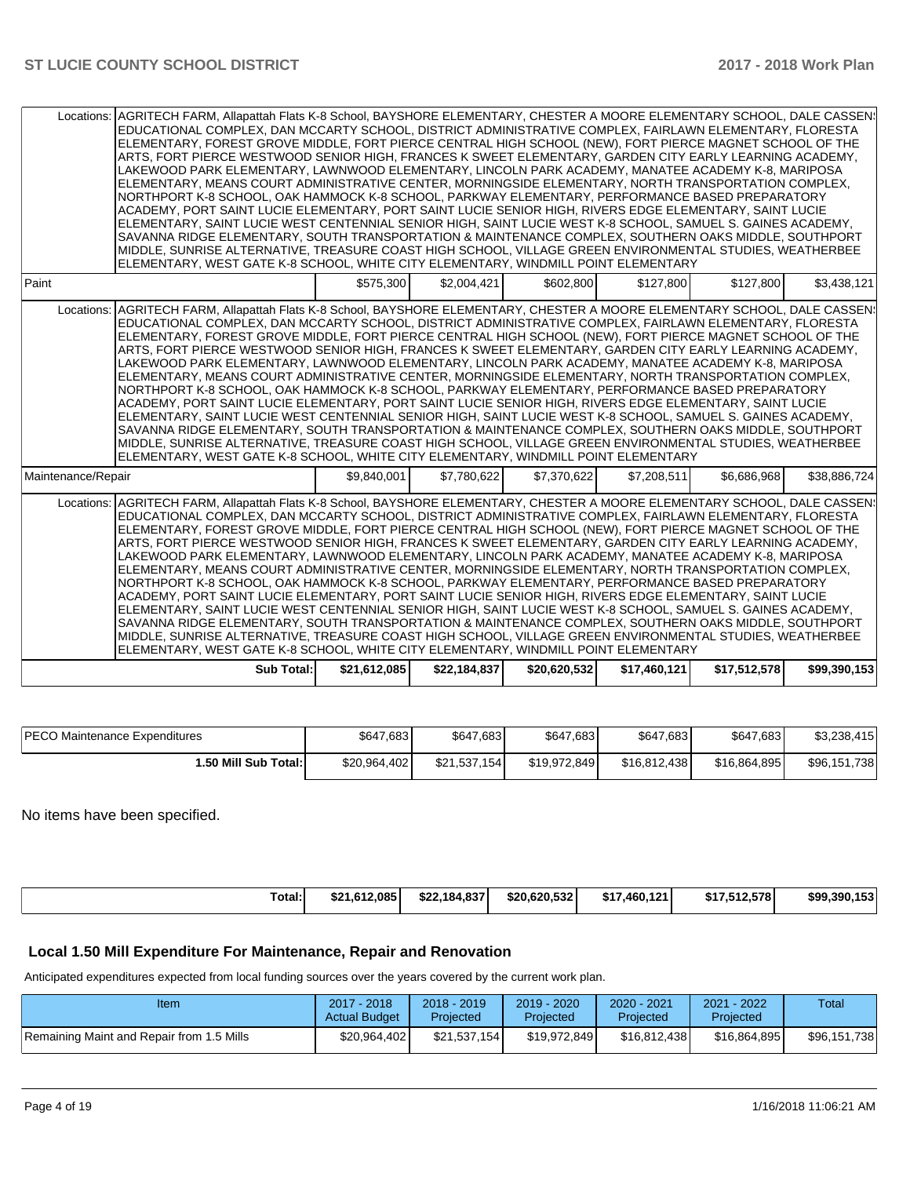|                                                                                                                                                                                                                                                                                                                                                                                                                                                                                                                                                                                                                                                                                                                                                                                                                                                                                                                                                                                                                                                                                                                                                                                                                                                                                                                     | Locations: AGRITECH FARM, Allapattah Flats K-8 School, BAYSHORE ELEMENTARY, CHESTER A MOORE ELEMENTARY SCHOOL, DALE CASSEN:<br>EDUCATIONAL COMPLEX, DAN MCCARTY SCHOOL, DISTRICT ADMINISTRATIVE COMPLEX, FAIRLAWN ELEMENTARY, FLORESTA<br>ELEMENTARY, FOREST GROVE MIDDLE, FORT PIERCE CENTRAL HIGH SCHOOL (NEW), FORT PIERCE MAGNET SCHOOL OF THE<br>ARTS, FORT PIERCE WESTWOOD SENIOR HIGH, FRANCES K SWEET ELEMENTARY, GARDEN CITY EARLY LEARNING ACADEMY,<br>LAKEWOOD PARK ELEMENTARY, LAWNWOOD ELEMENTARY, LINCOLN PARK ACADEMY, MANATEE ACADEMY K-8, MARIPOSA<br>ELEMENTARY, MEANS COURT ADMINISTRATIVE CENTER, MORNINGSIDE ELEMENTARY, NORTH TRANSPORTATION COMPLEX,<br>NORTHPORT K-8 SCHOOL, OAK HAMMOCK K-8 SCHOOL, PARKWAY ELEMENTARY, PERFORMANCE BASED PREPARATORY<br>ACADEMY, PORT SAINT LUCIE ELEMENTARY, PORT SAINT LUCIE SENIOR HIGH, RIVERS EDGE ELEMENTARY, SAINT LUCIE<br>ELEMENTARY, SAINT LUCIE WEST CENTENNIAL SENIOR HIGH, SAINT LUCIE WEST K-8 SCHOOL, SAMUEL S. GAINES ACADEMY,<br>SAVANNA RIDGE ELEMENTARY, SOUTH TRANSPORTATION & MAINTENANCE COMPLEX, SOUTHERN OAKS MIDDLE, SOUTHPORT<br>MIDDLE, SUNRISE ALTERNATIVE, TREASURE COAST HIGH SCHOOL, VILLAGE GREEN ENVIRONMENTAL STUDIES, WEATHERBEE<br>ELEMENTARY, WEST GATE K-8 SCHOOL, WHITE CITY ELEMENTARY, WINDMILL POINT ELEMENTARY |              |              |              |              |              |              |  |  |
|---------------------------------------------------------------------------------------------------------------------------------------------------------------------------------------------------------------------------------------------------------------------------------------------------------------------------------------------------------------------------------------------------------------------------------------------------------------------------------------------------------------------------------------------------------------------------------------------------------------------------------------------------------------------------------------------------------------------------------------------------------------------------------------------------------------------------------------------------------------------------------------------------------------------------------------------------------------------------------------------------------------------------------------------------------------------------------------------------------------------------------------------------------------------------------------------------------------------------------------------------------------------------------------------------------------------|---------------------------------------------------------------------------------------------------------------------------------------------------------------------------------------------------------------------------------------------------------------------------------------------------------------------------------------------------------------------------------------------------------------------------------------------------------------------------------------------------------------------------------------------------------------------------------------------------------------------------------------------------------------------------------------------------------------------------------------------------------------------------------------------------------------------------------------------------------------------------------------------------------------------------------------------------------------------------------------------------------------------------------------------------------------------------------------------------------------------------------------------------------------------------------------------------------------------------------------------------------------------------------------------------------------------|--------------|--------------|--------------|--------------|--------------|--------------|--|--|
| Paint                                                                                                                                                                                                                                                                                                                                                                                                                                                                                                                                                                                                                                                                                                                                                                                                                                                                                                                                                                                                                                                                                                                                                                                                                                                                                                               |                                                                                                                                                                                                                                                                                                                                                                                                                                                                                                                                                                                                                                                                                                                                                                                                                                                                                                                                                                                                                                                                                                                                                                                                                                                                                                                     | \$575.300    | \$2,004,421  | \$602,800    | \$127,800    | \$127,800    | \$3,438,121  |  |  |
|                                                                                                                                                                                                                                                                                                                                                                                                                                                                                                                                                                                                                                                                                                                                                                                                                                                                                                                                                                                                                                                                                                                                                                                                                                                                                                                     | Locations: AGRITECH FARM, Allapattah Flats K-8 School, BAYSHORE ELEMENTARY, CHESTER A MOORE ELEMENTARY SCHOOL, DALE CASSEN:<br>EDUCATIONAL COMPLEX, DAN MCCARTY SCHOOL, DISTRICT ADMINISTRATIVE COMPLEX, FAIRLAWN ELEMENTARY, FLORESTA<br>ELEMENTARY, FOREST GROVE MIDDLE, FORT PIERCE CENTRAL HIGH SCHOOL (NEW), FORT PIERCE MAGNET SCHOOL OF THE<br>ARTS, FORT PIERCE WESTWOOD SENIOR HIGH, FRANCES K SWEET ELEMENTARY, GARDEN CITY EARLY LEARNING ACADEMY,<br>LAKEWOOD PARK ELEMENTARY, LAWNWOOD ELEMENTARY, LINCOLN PARK ACADEMY, MANATEE ACADEMY K-8, MARIPOSA<br>ELEMENTARY, MEANS COURT ADMINISTRATIVE CENTER, MORNINGSIDE ELEMENTARY, NORTH TRANSPORTATION COMPLEX,<br>NORTHPORT K-8 SCHOOL. OAK HAMMOCK K-8 SCHOOL. PARKWAY ELEMENTARY. PERFORMANCE BASED PREPARATORY<br>ACADEMY, PORT SAINT LUCIE ELEMENTARY, PORT SAINT LUCIE SENIOR HIGH, RIVERS EDGE ELEMENTARY, SAINT LUCIE<br>ELEMENTARY, SAINT LUCIE WEST CENTENNIAL SENIOR HIGH, SAINT LUCIE WEST K-8 SCHOOL, SAMUEL S. GAINES ACADEMY,<br>SAVANNA RIDGE ELEMENTARY, SOUTH TRANSPORTATION & MAINTENANCE COMPLEX, SOUTHERN OAKS MIDDLE, SOUTHPORT<br>MIDDLE, SUNRISE ALTERNATIVE, TREASURE COAST HIGH SCHOOL, VILLAGE GREEN ENVIRONMENTAL STUDIES, WEATHERBEE<br>ELEMENTARY, WEST GATE K-8 SCHOOL, WHITE CITY ELEMENTARY, WINDMILL POINT ELEMENTARY |              |              |              |              |              |              |  |  |
| Maintenance/Repair                                                                                                                                                                                                                                                                                                                                                                                                                                                                                                                                                                                                                                                                                                                                                                                                                                                                                                                                                                                                                                                                                                                                                                                                                                                                                                  |                                                                                                                                                                                                                                                                                                                                                                                                                                                                                                                                                                                                                                                                                                                                                                                                                                                                                                                                                                                                                                                                                                                                                                                                                                                                                                                     | \$9,840,001  | \$7,780,622  | \$7,370,622  | \$7,208,511  | \$6,686,968  | \$38,886,724 |  |  |
| Locations: AGRITECH FARM, Allapattah Flats K-8 School, BAYSHORE ELEMENTARY, CHESTER A MOORE ELEMENTARY SCHOOL, DALE CASSEN:<br>EDUCATIONAL COMPLEX, DAN MCCARTY SCHOOL, DISTRICT ADMINISTRATIVE COMPLEX, FAIRLAWN ELEMENTARY, FLORESTA<br>ELEMENTARY, FOREST GROVE MIDDLE, FORT PIERCE CENTRAL HIGH SCHOOL (NEW), FORT PIERCE MAGNET SCHOOL OF THE<br>ARTS, FORT PIERCE WESTWOOD SENIOR HIGH, FRANCES K SWEET ELEMENTARY, GARDEN CITY EARLY LEARNING ACADEMY,<br>LAKEWOOD PARK ELEMENTARY, LAWNWOOD ELEMENTARY, LINCOLN PARK ACADEMY, MANATEE ACADEMY K-8, MARIPOSA<br>ELEMENTARY, MEANS COURT ADMINISTRATIVE CENTER, MORNINGSIDE ELEMENTARY, NORTH TRANSPORTATION COMPLEX,<br>NORTHPORT K-8 SCHOOL, OAK HAMMOCK K-8 SCHOOL, PARKWAY ELEMENTARY, PERFORMANCE BASED PREPARATORY<br>ACADEMY, PORT SAINT LUCIE ELEMENTARY, PORT SAINT LUCIE SENIOR HIGH, RIVERS EDGE ELEMENTARY, SAINT LUCIE<br>ELEMENTARY, SAINT LUCIE WEST CENTENNIAL SENIOR HIGH, SAINT LUCIE WEST K-8 SCHOOL, SAMUEL S. GAINES ACADEMY,<br>SAVANNA RIDGE ELEMENTARY, SOUTH TRANSPORTATION & MAINTENANCE COMPLEX, SOUTHERN OAKS MIDDLE, SOUTHPORT<br>MIDDLE, SUNRISE ALTERNATIVE, TREASURE COAST HIGH SCHOOL, VILLAGE GREEN ENVIRONMENTAL STUDIES, WEATHERBEE<br>ELEMENTARY, WEST GATE K-8 SCHOOL, WHITE CITY ELEMENTARY, WINDMILL POINT ELEMENTARY |                                                                                                                                                                                                                                                                                                                                                                                                                                                                                                                                                                                                                                                                                                                                                                                                                                                                                                                                                                                                                                                                                                                                                                                                                                                                                                                     |              |              |              |              |              |              |  |  |
|                                                                                                                                                                                                                                                                                                                                                                                                                                                                                                                                                                                                                                                                                                                                                                                                                                                                                                                                                                                                                                                                                                                                                                                                                                                                                                                     | Sub Total:                                                                                                                                                                                                                                                                                                                                                                                                                                                                                                                                                                                                                                                                                                                                                                                                                                                                                                                                                                                                                                                                                                                                                                                                                                                                                                          | \$21,612,085 | \$22,184,837 | \$20,620,532 | \$17,460,121 | \$17,512,578 | \$99,390,153 |  |  |

| <b>IPECO Maintenance Expenditures</b> | \$647,683    | \$647,683    | \$647,683    | \$647,683    | \$647.683    | \$3,238,415  |
|---------------------------------------|--------------|--------------|--------------|--------------|--------------|--------------|
| 1.50 Mill Sub Total: I                | \$20,964,402 | \$21,537,154 | \$19,972,849 | \$16.812.438 | \$16.864.895 | \$96,151,738 |

No items have been specified.

| Total: | \$21.612.085 | \$22,184,837 | \$20.620.532 | .460.121<br>\$17 | \$17.512.578 | \$99,390,153 |
|--------|--------------|--------------|--------------|------------------|--------------|--------------|
|        |              |              |              |                  |              |              |

# **Local 1.50 Mill Expenditure For Maintenance, Repair and Renovation**

Anticipated expenditures expected from local funding sources over the years covered by the current work plan.

| Item                                      | 2017 - 2018<br><b>Actual Budget</b> | $2018 - 2019$<br>Projected | 2019 - 2020<br>Projected | $2020 - 2021$<br>Projected | 2021 - 2022<br>Projected | Total        |
|-------------------------------------------|-------------------------------------|----------------------------|--------------------------|----------------------------|--------------------------|--------------|
| Remaining Maint and Repair from 1.5 Mills | \$20,964,402                        | \$21.537.154               | \$19,972,849             | \$16.812.438               | \$16.864.895             | \$96.151.738 |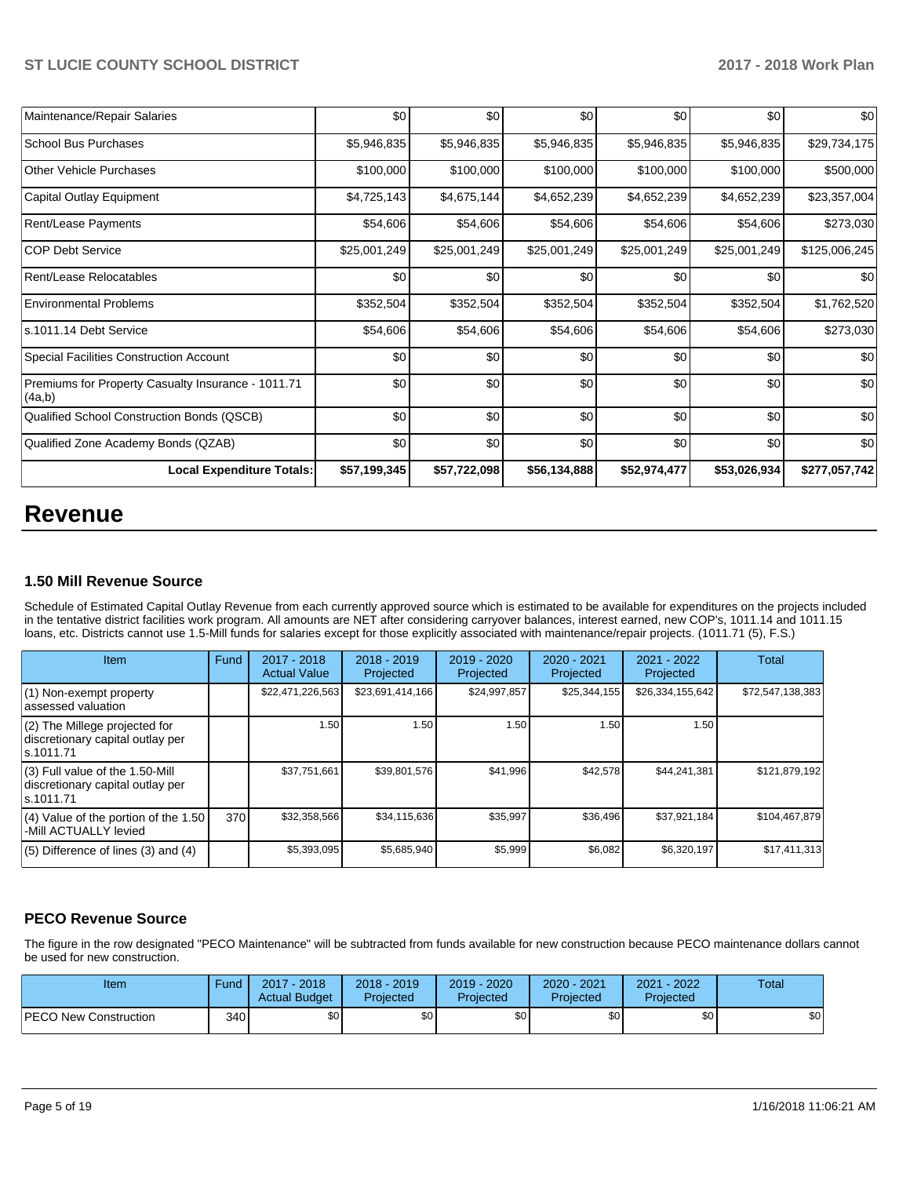| Maintenance/Repair Salaries                                  | \$0          | \$0          | \$0          | \$0          | \$0          | \$0           |
|--------------------------------------------------------------|--------------|--------------|--------------|--------------|--------------|---------------|
| <b>School Bus Purchases</b>                                  | \$5,946,835  | \$5,946,835  | \$5,946,835  | \$5,946,835  | \$5,946,835  | \$29,734,175  |
| <b>Other Vehicle Purchases</b>                               | \$100,000    | \$100,000    | \$100,000    | \$100,000    | \$100,000    | \$500,000     |
| Capital Outlay Equipment                                     | \$4,725,143  | \$4,675,144  | \$4,652,239  | \$4,652,239  | \$4,652,239  | \$23,357,004  |
| Rent/Lease Payments                                          | \$54,606     | \$54,606     | \$54,606     | \$54,606     | \$54,606     | \$273,030     |
| <b>COP Debt Service</b>                                      | \$25,001,249 | \$25,001,249 | \$25,001,249 | \$25,001,249 | \$25,001,249 | \$125,006,245 |
| Rent/Lease Relocatables                                      | \$0          | \$0          | \$0          | \$0          | \$0          | \$0           |
| <b>Environmental Problems</b>                                | \$352,504    | \$352,504    | \$352,504    | \$352,504    | \$352,504    | \$1,762,520   |
| s.1011.14 Debt Service                                       | \$54,606     | \$54,606     | \$54,606     | \$54,606     | \$54,606     | \$273,030     |
| <b>Special Facilities Construction Account</b>               | \$0          | \$0          | \$0          | \$0          | \$0          | \$0           |
| Premiums for Property Casualty Insurance - 1011.71<br>(4a,b) | \$0          | \$0          | \$0          | \$0          | \$0          | \$0           |
| Qualified School Construction Bonds (QSCB)                   | \$0          | \$0          | \$0          | \$0          | \$0          | \$0           |
| Qualified Zone Academy Bonds (QZAB)                          | \$0          | \$0          | \$0          | \$0          | \$0          | \$0           |
| <b>Local Expenditure Totals:</b>                             | \$57,199,345 | \$57,722,098 | \$56,134,888 | \$52,974,477 | \$53,026,934 | \$277,057,742 |

# **Revenue**

### **1.50 Mill Revenue Source**

Schedule of Estimated Capital Outlay Revenue from each currently approved source which is estimated to be available for expenditures on the projects included in the tentative district facilities work program. All amounts are NET after considering carryover balances, interest earned, new COP's, 1011.14 and 1011.15 loans, etc. Districts cannot use 1.5-Mill funds for salaries except for those explicitly associated with maintenance/repair projects. (1011.71 (5), F.S.)

| <b>Item</b>                                                                         | Fund | $2017 - 2018$<br><b>Actual Value</b> | $2018 - 2019$<br>Projected | 2019 - 2020<br>Projected | 2020 - 2021<br>Projected | $2021 - 2022$<br>Projected | <b>Total</b>     |
|-------------------------------------------------------------------------------------|------|--------------------------------------|----------------------------|--------------------------|--------------------------|----------------------------|------------------|
| (1) Non-exempt property<br>lassessed valuation                                      |      | \$22,471,226,563                     | \$23,691,414,166           | \$24,997,857             | \$25,344,155             | \$26,334,155,642           | \$72,547,138,383 |
| $(2)$ The Millege projected for<br>discretionary capital outlay per<br>ls.1011.71   |      | 1.50                                 | 1.50                       | 1.50                     | 1.50                     | 1.50                       |                  |
| $(3)$ Full value of the 1.50-Mill<br>discretionary capital outlay per<br>ls.1011.71 |      | \$37,751,661                         | \$39,801,576               | \$41,996                 | \$42,578                 | \$44,241,381               | \$121,879,192    |
| $(4)$ Value of the portion of the 1.50<br>-Mill ACTUALLY levied                     | 370  | \$32,358,566                         | \$34,115,636               | \$35,997                 | \$36,496                 | \$37,921,184               | \$104,467,879    |
| $(5)$ Difference of lines $(3)$ and $(4)$                                           |      | \$5,393,095                          | \$5,685,940                | \$5,999                  | \$6,082                  | \$6,320,197                | \$17,411,313     |

# **PECO Revenue Source**

The figure in the row designated "PECO Maintenance" will be subtracted from funds available for new construction because PECO maintenance dollars cannot be used for new construction.

| Item                         | Fund | $2017 - 2018$<br><b>Actual Budget</b> | $2018 - 2019$<br>Projected | $2019 - 2020$<br>Projected | 2020 - 2021<br>Projected | $-2022$<br>2021<br>Projected | Total |
|------------------------------|------|---------------------------------------|----------------------------|----------------------------|--------------------------|------------------------------|-------|
| <b>PECO New Construction</b> | 340  | \$0 <sub>1</sub>                      | \$0 <sub>1</sub>           | \$0                        | \$0                      | \$0                          | \$0   |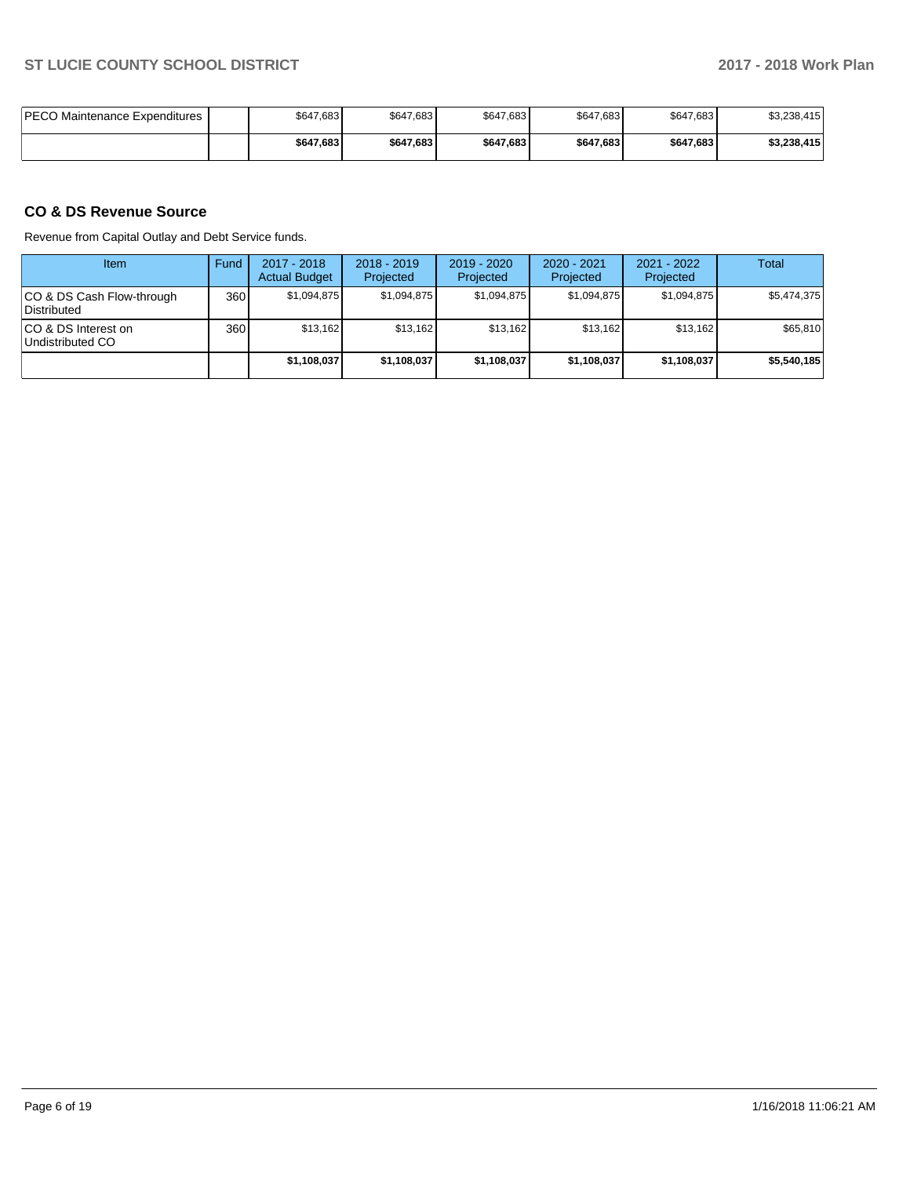| IPECO Maintenance Expenditures | \$647,683 | \$647,683 | \$647,683 | \$647,683 | \$647,683 | \$3,238,415 |
|--------------------------------|-----------|-----------|-----------|-----------|-----------|-------------|
|                                | \$647,683 | \$647,683 | \$647.683 | \$647.683 | \$647,683 | \$3,238,415 |

# **CO & DS Revenue Source**

Revenue from Capital Outlay and Debt Service funds.

| Item                                      | Fund             | 2017 - 2018<br><b>Actual Budget</b> | $2018 - 2019$<br>Projected | $2019 - 2020$<br>Projected | $2020 - 2021$<br>Projected | 2021 - 2022<br>Projected | Total       |
|-------------------------------------------|------------------|-------------------------------------|----------------------------|----------------------------|----------------------------|--------------------------|-------------|
| ICO & DS Cash Flow-through<br>Distributed | 360              | \$1,094,875                         | \$1,094,875                | \$1.094.875                | \$1,094,875                | \$1,094,875              | \$5,474,375 |
| ICO & DS Interest on<br>Undistributed CO  | 360 <sub>1</sub> | \$13,162                            | \$13,162                   | \$13.162                   | \$13,162                   | \$13.162                 | \$65,810    |
|                                           |                  | \$1,108,037                         | \$1,108,037                | \$1,108,037                | \$1,108,037                | \$1,108,037              | \$5,540,185 |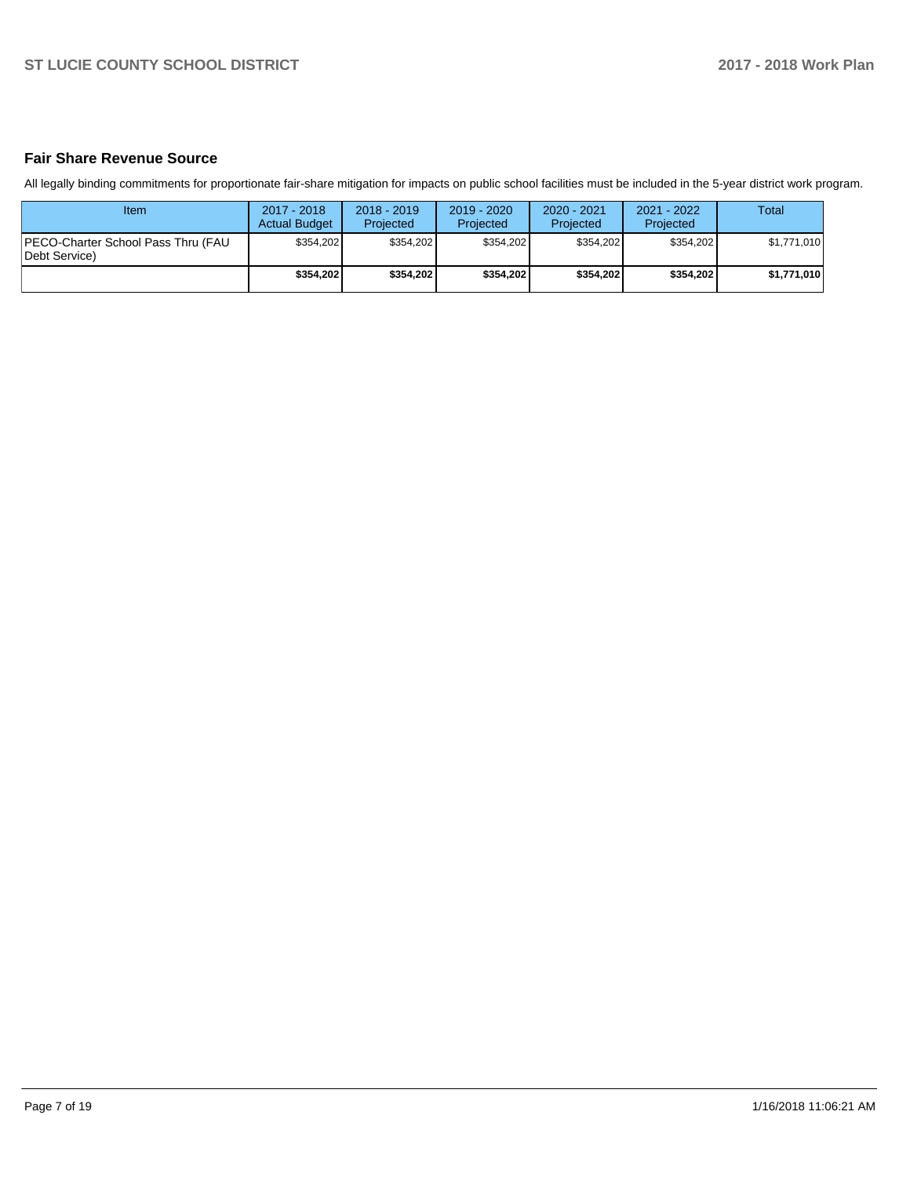# **Fair Share Revenue Source**

All legally binding commitments for proportionate fair-share mitigation for impacts on public school facilities must be included in the 5-year district work program.

| <b>Item</b>                                                  | 2017 - 2018<br><b>Actual Budget</b> | $2018 - 2019$<br>Projected | 2019 - 2020<br>Projected | $2020 - 2021$<br>Projected | $2021 - 2022$<br>Projected | <b>Total</b> |
|--------------------------------------------------------------|-------------------------------------|----------------------------|--------------------------|----------------------------|----------------------------|--------------|
| <b>IPECO-Charter School Pass Thru (FAU)</b><br>Debt Service) | \$354.202                           | \$354.202                  | \$354.202                | \$354.202                  | \$354.202                  | \$1,771,010  |
|                                                              | \$354.202                           | \$354,202                  | \$354.202                | \$354.202                  | \$354,202                  | \$1,771,010  |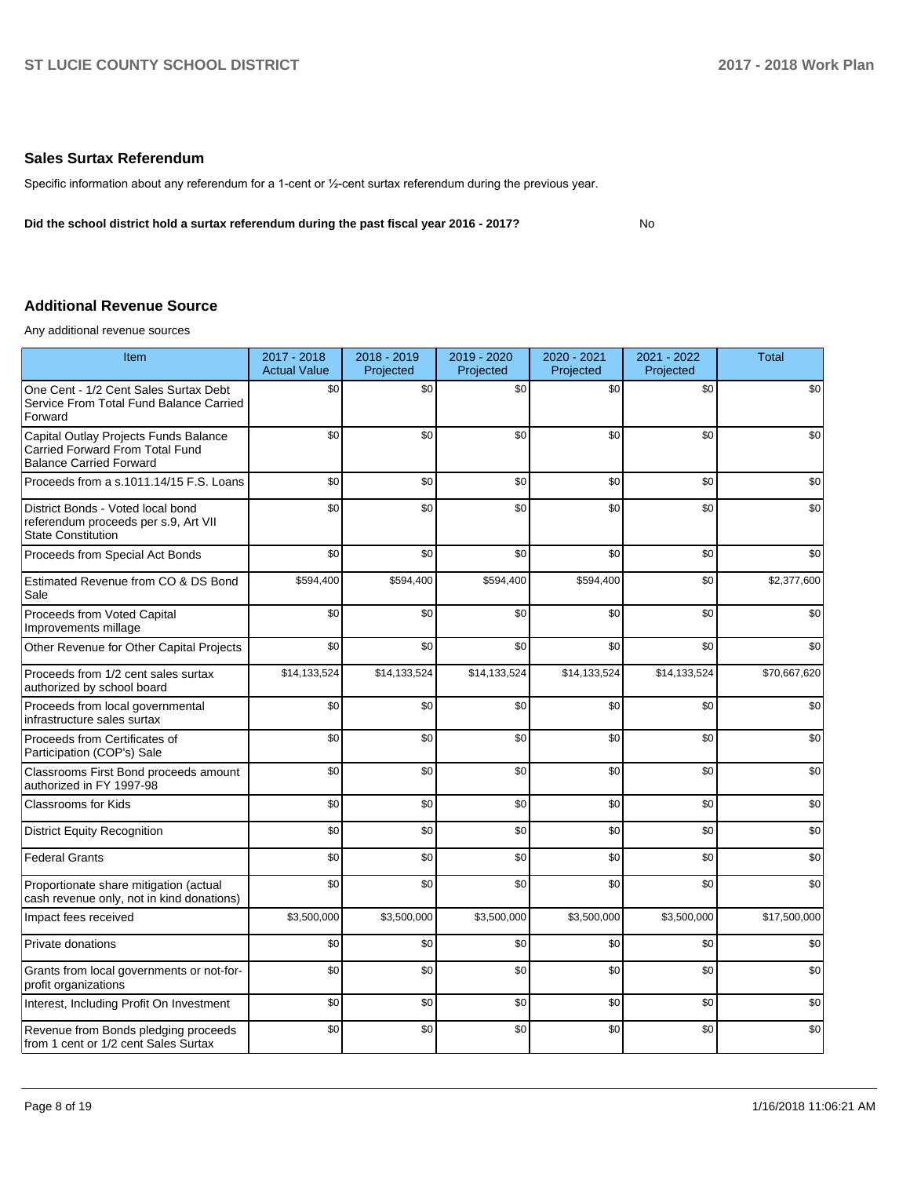## **Sales Surtax Referendum**

Specific information about any referendum for a 1-cent or 1/2-cent surtax referendum during the previous year.

**Did the school district hold a surtax referendum during the past fiscal year 2016 - 2017?**

No

# **Additional Revenue Source**

Any additional revenue sources

| <b>Item</b>                                                                                                | 2017 - 2018<br><b>Actual Value</b> | 2018 - 2019<br>Projected | 2019 - 2020<br>Projected | 2020 - 2021<br>Projected | 2021 - 2022<br>Projected | <b>Total</b> |
|------------------------------------------------------------------------------------------------------------|------------------------------------|--------------------------|--------------------------|--------------------------|--------------------------|--------------|
| One Cent - 1/2 Cent Sales Surtax Debt<br>Service From Total Fund Balance Carried<br>Forward                | \$0                                | \$0                      | \$0                      | \$0                      | \$0                      | \$0          |
| Capital Outlay Projects Funds Balance<br>Carried Forward From Total Fund<br><b>Balance Carried Forward</b> | \$0                                | \$0                      | \$0                      | \$0                      | \$0                      | \$0          |
| Proceeds from a s.1011.14/15 F.S. Loans                                                                    | \$0                                | \$0                      | \$0                      | \$0                      | \$0                      | \$0          |
| District Bonds - Voted local bond<br>referendum proceeds per s.9, Art VII<br><b>State Constitution</b>     | \$0                                | \$0                      | \$0                      | \$0                      | \$0                      | \$0          |
| Proceeds from Special Act Bonds                                                                            | \$0                                | \$0                      | \$0                      | \$0                      | \$0                      | \$0          |
| Estimated Revenue from CO & DS Bond<br>Sale                                                                | \$594,400                          | \$594,400                | \$594,400                | \$594,400                | \$0                      | \$2,377,600  |
| Proceeds from Voted Capital<br>Improvements millage                                                        | \$0                                | \$0                      | \$0                      | \$0                      | \$0                      | \$0          |
| Other Revenue for Other Capital Projects                                                                   | \$0                                | \$0                      | \$0                      | \$0                      | \$0                      | \$0          |
| Proceeds from 1/2 cent sales surtax<br>authorized by school board                                          | \$14,133,524                       | \$14,133,524             | \$14,133,524             | \$14,133,524             | \$14,133,524             | \$70,667,620 |
| Proceeds from local governmental<br>infrastructure sales surtax                                            | \$0                                | \$0                      | \$0                      | \$0                      | \$0                      | \$0          |
| Proceeds from Certificates of<br>Participation (COP's) Sale                                                | \$0                                | \$0                      | \$0                      | \$0                      | \$0                      | \$0          |
| Classrooms First Bond proceeds amount<br>authorized in FY 1997-98                                          | \$0                                | \$0                      | \$0                      | \$0                      | \$0                      | \$0          |
| <b>Classrooms for Kids</b>                                                                                 | \$0                                | \$0                      | \$0                      | \$0                      | \$0                      | \$0          |
| <b>District Equity Recognition</b>                                                                         | \$0                                | \$0                      | \$0                      | \$0                      | \$0                      | \$0          |
| <b>Federal Grants</b>                                                                                      | \$0                                | \$0                      | \$0                      | \$0                      | \$0                      | \$0          |
| Proportionate share mitigation (actual<br>cash revenue only, not in kind donations)                        | \$0                                | \$0                      | \$0                      | \$0                      | \$0                      | \$0          |
| Impact fees received                                                                                       | \$3,500,000                        | \$3,500,000              | \$3,500,000              | \$3,500,000              | \$3,500,000              | \$17,500,000 |
| Private donations                                                                                          | \$0                                | \$0                      | \$0                      | \$0                      | \$0                      | \$0          |
| Grants from local governments or not-for-<br>profit organizations                                          | \$0                                | \$0                      | \$0                      | \$0                      | \$0                      | \$0          |
| Interest, Including Profit On Investment                                                                   | \$0                                | \$0                      | \$0                      | \$0                      | \$0                      | \$0          |
| Revenue from Bonds pledging proceeds<br>from 1 cent or 1/2 cent Sales Surtax                               | \$0                                | \$0                      | \$0                      | \$0                      | \$0                      | \$0          |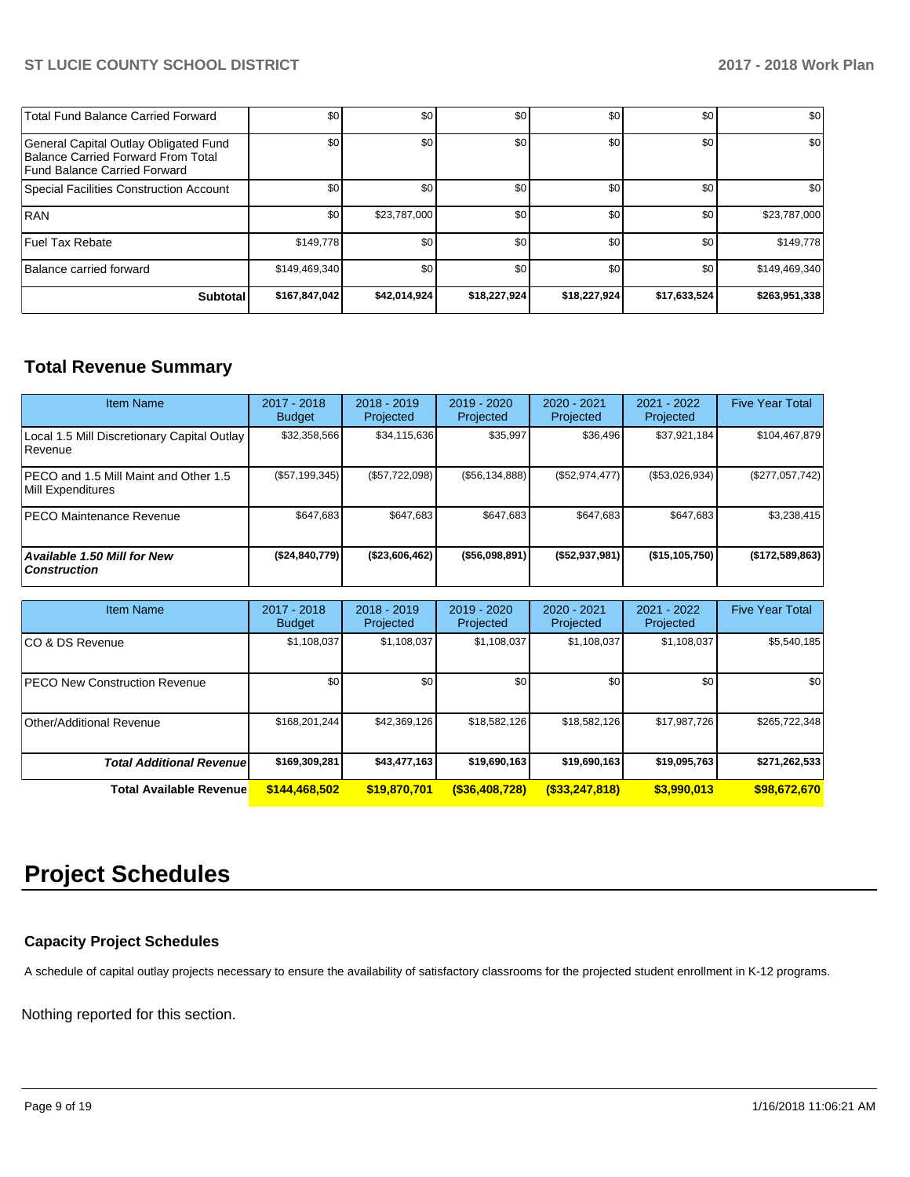| Total Fund Balance Carried Forward                                                                          | \$0           | \$0          | \$0          | \$0          | \$0          | \$0           |
|-------------------------------------------------------------------------------------------------------------|---------------|--------------|--------------|--------------|--------------|---------------|
| General Capital Outlay Obligated Fund<br>Balance Carried Forward From Total<br>Fund Balance Carried Forward | \$0           | \$0          | \$0          | \$0          | \$0          | \$0           |
| Special Facilities Construction Account                                                                     | \$0           | \$0          | \$0          | \$0          | \$0          | \$0           |
| <b>RAN</b>                                                                                                  | \$0           | \$23,787,000 | \$0          | \$0          | \$0          | \$23,787,000  |
| Fuel Tax Rebate                                                                                             | \$149,778     | \$0          | \$0          | \$0          | \$0          | \$149,778     |
| Balance carried forward                                                                                     | \$149,469,340 | \$0          | \$0          | \$0          | \$0          | \$149,469,340 |
| <b>Subtotal</b>                                                                                             | \$167,847,042 | \$42,014,924 | \$18,227,924 | \$18,227,924 | \$17,633,524 | \$263,951,338 |

# **Total Revenue Summary**

| <b>Item Name</b>                                            | $2017 - 2018$<br><b>Budget</b> | $2018 - 2019$<br>Projected | $2019 - 2020$<br>Projected | $2020 - 2021$<br>Projected | $2021 - 2022$<br>Projected | <b>Five Year Total</b> |
|-------------------------------------------------------------|--------------------------------|----------------------------|----------------------------|----------------------------|----------------------------|------------------------|
| Local 1.5 Mill Discretionary Capital Outlay<br>l Revenue    | \$32,358,566                   | \$34,115,636               | \$35,997                   | \$36,496                   | \$37,921,184               | \$104,467,879          |
| IPECO and 1.5 Mill Maint and Other 1.5<br>Mill Expenditures | (S57, 199, 345)                | (\$57,722,098)             | (\$56,134,888)             | (\$52,974,477)             | (\$53,026,934)             | (\$277,057,742)        |
| IPECO Maintenance Revenue                                   | \$647,683                      | \$647,683                  | \$647.683                  | \$647,683                  | \$647,683                  | \$3,238,415            |
| <b>Available 1.50 Mill for New</b><br><b>Construction</b>   | (\$24,840,779)                 | (\$23,606,462)             | $($ \$56,098,891)          | $($ \$52,937,981)          | (\$15,105,750)             | (\$172,589,863)        |

| Item Name                             | $2017 - 2018$<br><b>Budget</b> | $2018 - 2019$<br>Projected | $2019 - 2020$<br>Projected | $2020 - 2021$<br>Projected | 2021 - 2022<br>Projected | <b>Five Year Total</b> |
|---------------------------------------|--------------------------------|----------------------------|----------------------------|----------------------------|--------------------------|------------------------|
| ICO & DS Revenue                      | \$1,108,037                    | \$1,108,037                | \$1,108,037                | \$1,108,037                | \$1,108,037              | \$5,540,185            |
| <b>IPECO New Construction Revenue</b> | \$0                            | \$0                        | \$0                        | \$0                        | \$0                      | \$0                    |
| Other/Additional Revenue              | \$168.201.244                  | \$42.369.126               | \$18,582,126               | \$18,582.126               | \$17.987.726             | \$265,722,348          |
| <b>Total Additional Revenuel</b>      | \$169,309,281                  | \$43,477,163               | \$19,690,163               | \$19,690,163               | \$19,095,763             | \$271,262,533          |
| <b>Total Available Revenue</b>        | \$144,468,502                  | \$19,870,701               | $($ \$36,408,728)          | $($ \$33,247,818)          | \$3,990,013              | \$98,672,670           |

# **Project Schedules**

# **Capacity Project Schedules**

A schedule of capital outlay projects necessary to ensure the availability of satisfactory classrooms for the projected student enrollment in K-12 programs.

Nothing reported for this section.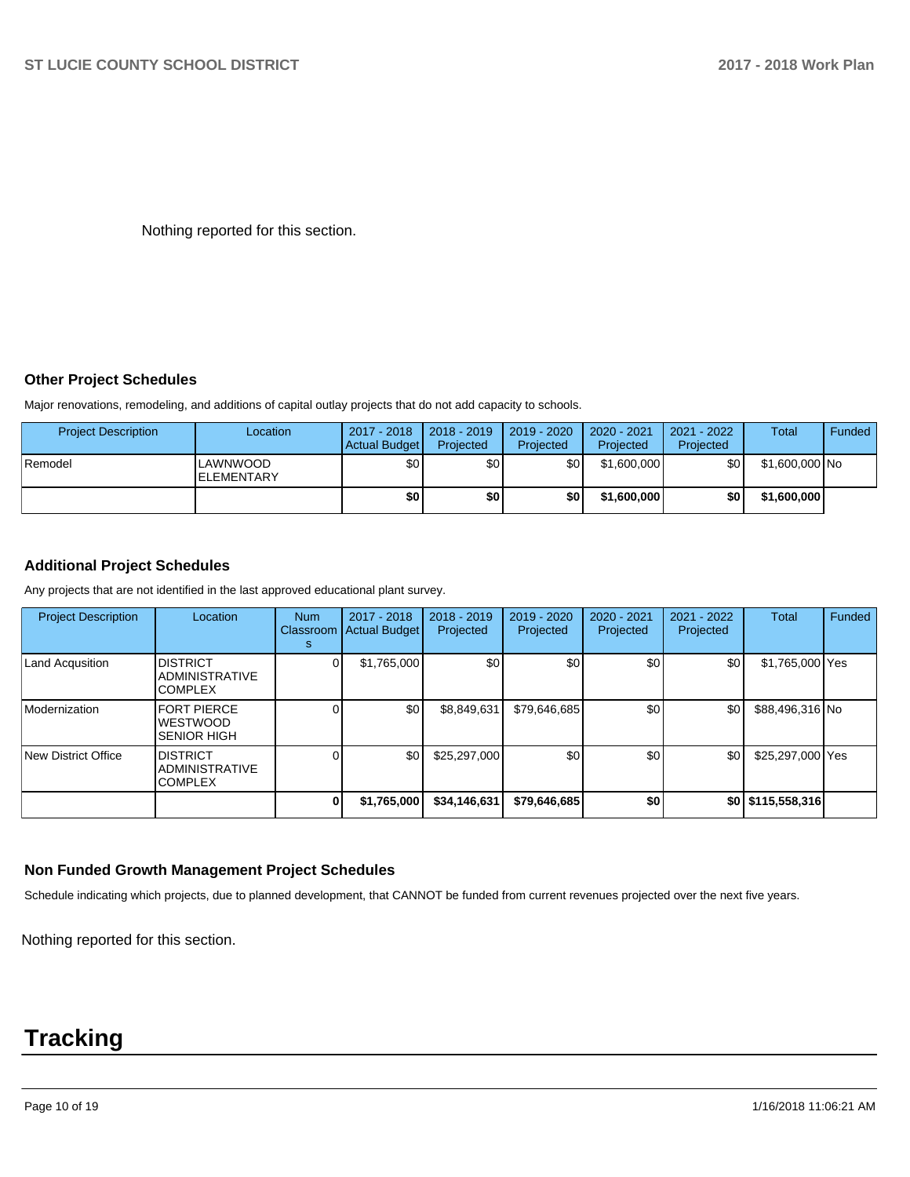Nothing reported for this section.

# **Other Project Schedules**

Major renovations, remodeling, and additions of capital outlay projects that do not add capacity to schools.

| <b>Project Description</b> | Location                      | 2017 - 2018<br>Actual Budget | 2018 - 2019<br>Projected | 2019 - 2020<br>Projected | 2020 - 2021<br>Projected | 2021 - 2022<br>Projected | <b>Total</b>   | Funded |
|----------------------------|-------------------------------|------------------------------|--------------------------|--------------------------|--------------------------|--------------------------|----------------|--------|
| <b>Remodel</b>             | LAWNWOOD<br><b>ELEMENTARY</b> | \$0                          | \$0                      | \$0                      | \$1,600,000              | \$٥Ι                     | \$1,600,000 No |        |
|                            |                               | \$0                          | \$0                      | \$0                      | \$1,600,000              | \$0 I                    | \$1,600,000    |        |

## **Additional Project Schedules**

Any projects that are not identified in the last approved educational plant survey.

| <b>Project Description</b> | Location                                                    | <b>Num</b><br>Classroom<br>s | 2017 - 2018<br><b>Actual Budget</b> | $2018 - 2019$<br>Projected | 2019 - 2020<br>Projected | 2020 - 2021<br>Projected | 2021 - 2022<br>Projected | Total             | Funded |
|----------------------------|-------------------------------------------------------------|------------------------------|-------------------------------------|----------------------------|--------------------------|--------------------------|--------------------------|-------------------|--------|
| Land Acqusition            | <b>DISTRICT</b><br><b>ADMINISTRATIVE</b><br><b>COMPLEX</b>  |                              | \$1,765,000                         | \$0                        | \$0                      | \$0                      | \$0                      | \$1,765,000 Yes   |        |
| Modernization              | <b>FORT PIERCE</b><br><b>WESTWOOD</b><br><b>SENIOR HIGH</b> |                              | \$0                                 | \$8,849,631                | \$79,646,685             | \$0                      | \$0                      | \$88,496,316 No   |        |
| New District Office        | <b>DISTRICT</b><br><b>ADMINISTRATIVE</b><br><b>COMPLEX</b>  |                              | \$0                                 | \$25,297,000               | \$0                      | \$0 <sub>0</sub>         | \$0                      | \$25,297,000 Yes  |        |
|                            |                                                             |                              | \$1,765,000                         | \$34,146,631               | \$79,646,685             | \$0                      |                          | \$0 \$115,558,316 |        |

#### **Non Funded Growth Management Project Schedules**

Schedule indicating which projects, due to planned development, that CANNOT be funded from current revenues projected over the next five years.

Nothing reported for this section.

# **Tracking**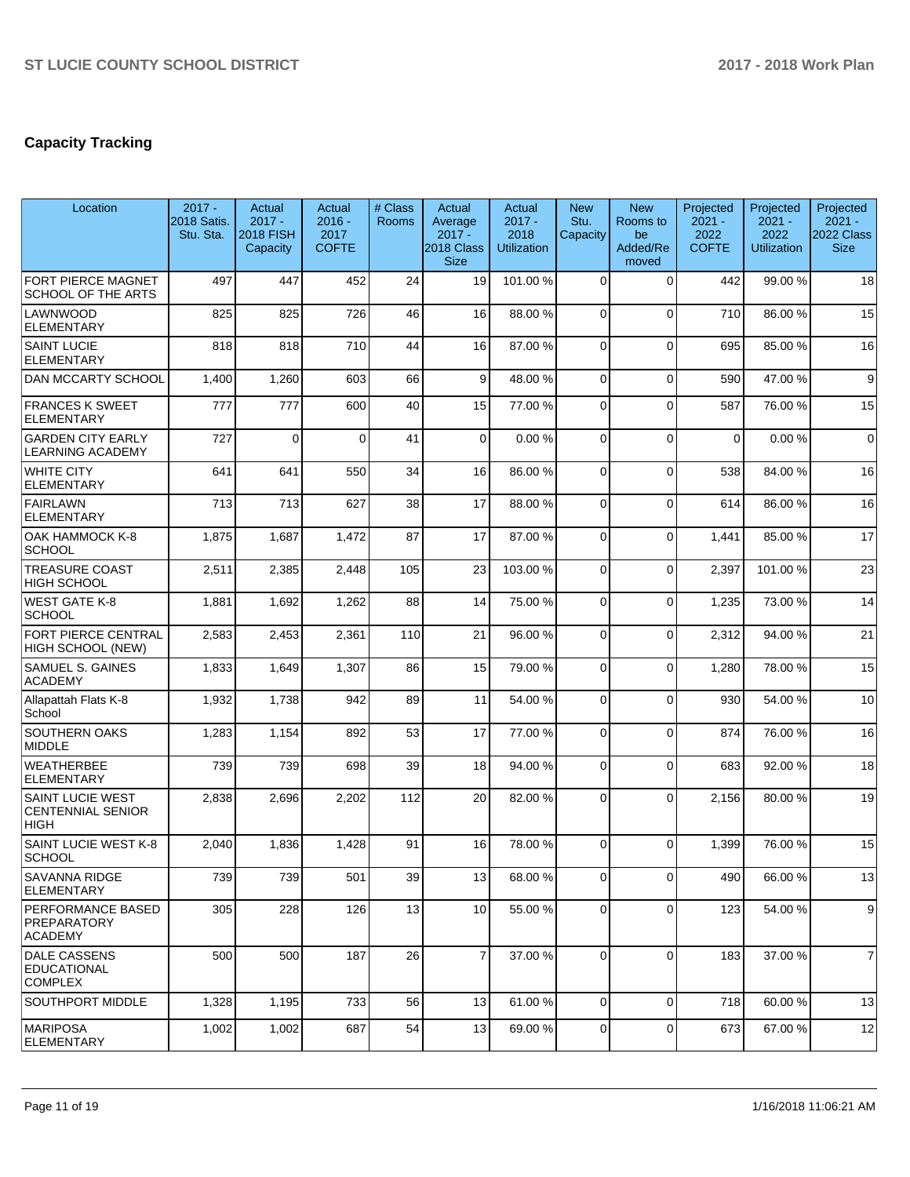# **Capacity Tracking**

| Location                                                           | $2017 -$<br>2018 Satis.<br>Stu. Sta. | Actual<br>$2017 -$<br><b>2018 FISH</b><br>Capacity | Actual<br>$2016 -$<br>2017<br><b>COFTE</b> | # Class<br><b>Rooms</b> | Actual<br>Average<br>$2017 -$<br>2018 Class<br><b>Size</b> | Actual<br>$2017 -$<br>2018<br><b>Utilization</b> | <b>New</b><br>Stu.<br>Capacity | <b>New</b><br>Rooms to<br>be<br>Added/Re<br>moved | Projected<br>$2021 -$<br>2022<br><b>COFTE</b> | Projected<br>$2021 -$<br>2022<br><b>Utilization</b> | Projected<br>$2021 -$<br>2022 Class<br><b>Size</b> |
|--------------------------------------------------------------------|--------------------------------------|----------------------------------------------------|--------------------------------------------|-------------------------|------------------------------------------------------------|--------------------------------------------------|--------------------------------|---------------------------------------------------|-----------------------------------------------|-----------------------------------------------------|----------------------------------------------------|
| FORT PIERCE MAGNET<br><b>SCHOOL OF THE ARTS</b>                    | 497                                  | 447                                                | 452                                        | 24                      | 19                                                         | 101.00%                                          | $\Omega$                       | $\Omega$                                          | 442                                           | 99.00 %                                             | 18                                                 |
| LAWNWOOD<br><b>ELEMENTARY</b>                                      | 825                                  | 825                                                | 726                                        | 46                      | 16                                                         | 88.00 %                                          | $\Omega$                       | $\Omega$                                          | 710                                           | 86.00 %                                             | 15                                                 |
| <b>SAINT LUCIE</b><br><b>ELEMENTARY</b>                            | 818                                  | 818                                                | 710                                        | 44                      | 16                                                         | 87.00 %                                          | $\Omega$                       | $\Omega$                                          | 695                                           | 85.00 %                                             | 16                                                 |
| <b>DAN MCCARTY SCHOOL</b>                                          | 1,400                                | 1,260                                              | 603                                        | 66                      | 9                                                          | 48.00 %                                          | $\Omega$                       | $\Omega$                                          | 590                                           | 47.00 %                                             | 9                                                  |
| <b>FRANCES K SWEET</b><br><b>ELEMENTARY</b>                        | 777                                  | 777                                                | 600                                        | 40                      | 15                                                         | 77.00 %                                          | $\Omega$                       | $\Omega$                                          | 587                                           | 76.00 %                                             | 15                                                 |
| <b>GARDEN CITY EARLY</b><br><b>LEARNING ACADEMY</b>                | 727                                  | $\Omega$                                           | $\Omega$                                   | 41                      | $\Omega$                                                   | 0.00%                                            | $\Omega$                       | $\Omega$                                          | $\mathbf 0$                                   | 0.00%                                               | $\mathbf 0$                                        |
| <b>WHITE CITY</b><br>ELEMENTARY                                    | 641                                  | 641                                                | 550                                        | 34                      | 16                                                         | 86.00%                                           | $\Omega$                       | $\Omega$                                          | 538                                           | 84.00 %                                             | 16                                                 |
| <b>FAIRLAWN</b><br><b>ELEMENTARY</b>                               | 713                                  | 713                                                | 627                                        | 38                      | 17                                                         | 88.00 %                                          | $\Omega$                       | $\Omega$                                          | 614                                           | 86.00 %                                             | 16                                                 |
| OAK HAMMOCK K-8<br><b>SCHOOL</b>                                   | 1,875                                | 1,687                                              | 1,472                                      | 87                      | 17                                                         | 87.00 %                                          | $\Omega$                       | $\mathbf 0$                                       | 1,441                                         | 85.00 %                                             | 17                                                 |
| <b>TREASURE COAST</b><br>HIGH SCHOOL                               | 2,511                                | 2,385                                              | 2,448                                      | 105                     | 23                                                         | 103.00%                                          | $\Omega$                       | $\Omega$                                          | 2,397                                         | 101.00%                                             | 23                                                 |
| <b>WEST GATE K-8</b><br><b>SCHOOL</b>                              | 1,881                                | 1,692                                              | 1,262                                      | 88                      | 14                                                         | 75.00 %                                          | $\Omega$                       | $\Omega$                                          | 1,235                                         | 73.00 %                                             | 14                                                 |
| FORT PIERCE CENTRAL<br>HIGH SCHOOL (NEW)                           | 2,583                                | 2,453                                              | 2,361                                      | 110                     | 21                                                         | 96.00%                                           | $\Omega$                       | $\Omega$                                          | 2,312                                         | 94.00 %                                             | 21                                                 |
| SAMUEL S. GAINES<br><b>ACADEMY</b>                                 | 1,833                                | 1,649                                              | 1,307                                      | 86                      | 15                                                         | 79.00 %                                          | $\Omega$                       | $\Omega$                                          | 1,280                                         | 78.00 %                                             | 15                                                 |
| Allapattah Flats K-8<br>School                                     | 1,932                                | 1,738                                              | 942                                        | 89                      | 11                                                         | 54.00 %                                          | $\Omega$                       | $\Omega$                                          | 930                                           | 54.00 %                                             | 10                                                 |
| SOUTHERN OAKS<br>MIDDLE                                            | 1,283                                | 1,154                                              | 892                                        | 53                      | 17                                                         | 77.00 %                                          | $\Omega$                       | $\Omega$                                          | 874                                           | 76.00 %                                             | 16                                                 |
| WEATHERBEE<br><b>ELEMENTARY</b>                                    | 739                                  | 739                                                | 698                                        | 39                      | 18                                                         | 94.00%                                           | $\Omega$                       | $\Omega$                                          | 683                                           | 92.00 %                                             | 18                                                 |
| <b>SAINT LUCIE WEST</b><br><b>CENTENNIAL SENIOR</b><br><b>HIGH</b> | 2,838                                | 2,696                                              | 2,202                                      | 112                     | 20                                                         | 82.00 %                                          | $\Omega$                       | $\Omega$                                          | 2,156                                         | 80.00 %                                             | 19                                                 |
| SAINT LUCIE WEST K-8<br><b>SCHOOL</b>                              | 2,040                                | 1,836                                              | 1,428                                      | 91                      | 16                                                         | 78.00 %                                          | $\Omega$                       | $\Omega$                                          | 1,399                                         | 76.00%                                              | 15                                                 |
| SAVANNA RIDGE<br><b>ELEMENTARY</b>                                 | 739                                  | 739                                                | 501                                        | 39                      | 13 <sup>1</sup>                                            | 68.00 %                                          | $\overline{0}$                 | $\mathbf 0$                                       | 490                                           | 66.00 %                                             | 13                                                 |
| <b>PERFORMANCE BASED</b><br>PREPARATORY<br><b>ACADEMY</b>          | 305                                  | 228                                                | 126                                        | 13                      | 10 <sup>1</sup>                                            | 55.00 %                                          | $\mathbf 0$                    | $\mathbf 0$                                       | 123                                           | 54.00 %                                             | 9                                                  |
| <b>DALE CASSENS</b><br><b>EDUCATIONAL</b><br><b>COMPLEX</b>        | 500                                  | 500                                                | 187                                        | 26                      | $\overline{7}$                                             | 37.00 %                                          | $\Omega$                       | $\mathbf 0$                                       | 183                                           | 37.00 %                                             | $\overline{7}$                                     |
| SOUTHPORT MIDDLE                                                   | 1,328                                | 1,195                                              | 733                                        | 56                      | 13 <sup>1</sup>                                            | 61.00%                                           | $\Omega$                       | $\Omega$                                          | 718                                           | 60.00%                                              | 13                                                 |
| MARIPOSA<br><b>ELEMENTARY</b>                                      | 1,002                                | 1,002                                              | 687                                        | 54                      | 13 <sup>1</sup>                                            | 69.00 %                                          | $\Omega$                       | $\Omega$                                          | 673                                           | 67.00 %                                             | 12                                                 |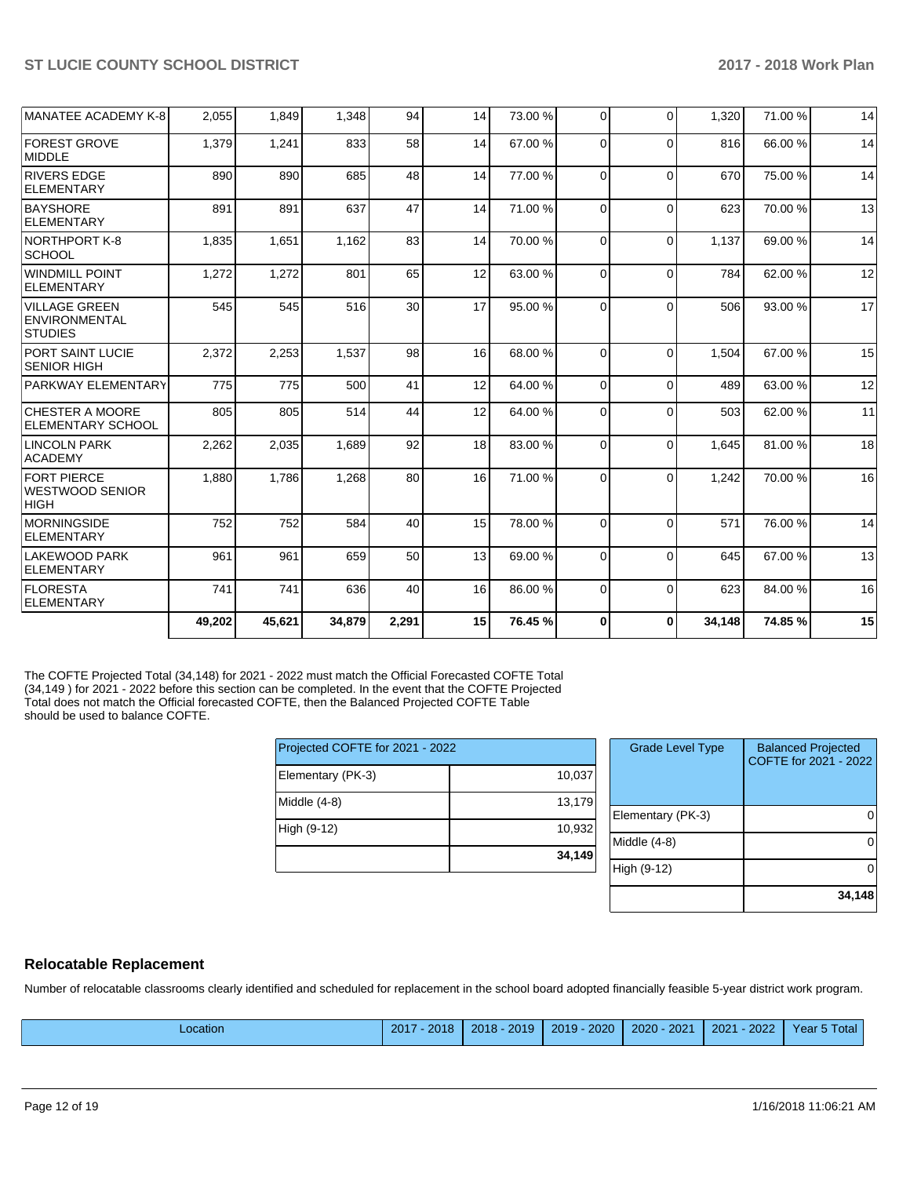| <b>ACADEMY</b>                                      |       | 2,035 | 1,689 | 92 | 18 <sup>1</sup> | 83.00 % | $\Omega$ | $\Omega$ | 1,645 | 81.00%  | 18 |
|-----------------------------------------------------|-------|-------|-------|----|-----------------|---------|----------|----------|-------|---------|----|
| LINCOLN PARK                                        | 2,262 |       |       |    |                 |         |          |          |       |         |    |
| <b>CHESTER A MOORE</b><br><b>IELEMENTARY SCHOOL</b> | 805   | 805   | 514   | 44 | 12              | 64.00%  | $\Omega$ | $\Omega$ | 503   | 62.00 % | 11 |
| <b>PARKWAY ELEMENTARY</b>                           | 775   | 775   | 500   | 41 | 12              | 64.00%  | $\Omega$ | $\Omega$ | 489   | 63.00 % | 12 |
| <b>PORT SAINT LUCIE</b><br><b>SENIOR HIGH</b>       | 2,372 | 2,253 | 1,537 | 98 | 16              | 68.00 % | $\Omega$ | $\Omega$ | 1,504 | 67.00 % | 15 |
| <b>ENVIRONMENTAL</b><br><b>STUDIES</b>              |       |       |       |    |                 |         |          |          |       |         |    |
| <b>ELEMENTARY</b><br>VILLAGE GREEN                  | 545   | 545   | 516   | 30 | 17              | 95.00 % | $\Omega$ | $\Omega$ | 506   | 93.00 % | 17 |
| <b>SCHOOL</b><br>WINDMILL POINT                     | 1,272 | 1,272 | 801   | 65 | 12              | 63.00 % | $\Omega$ | $\Omega$ | 784   | 62.00%  | 12 |
| NORTHPORT K-8                                       | 1,835 | 1,651 | 1,162 | 83 | 14              | 70.00%  | $\Omega$ | $\Omega$ | 1,137 | 69.00 % | 14 |
| <b>BAYSHORE</b><br>ELEMENTARY                       | 891   | 891   | 637   | 47 | 14              | 71.00 % | $\Omega$ | $\Omega$ | 623   | 70.00 % | 13 |
| <b>RIVERS EDGE</b><br>ELEMENTARY                    | 890   | 890   | 685   | 48 | 14              | 77.00 % | $\Omega$ | $\Omega$ | 670   | 75.00 % | 14 |
| <b>FOREST GROVE</b><br>MIDDLE                       | 1,379 | 1,241 | 833   | 58 | 14              | 67.00 % | $\Omega$ | $\Omega$ | 816   | 66.00 % | 14 |
| MANATEE ACADEMY K-8                                 | 2,055 | 1,849 | 1,348 | 94 | 14              | 73.00 % | $\Omega$ | $\Omega$ | 1,320 | 71.00 % | 14 |

The COFTE Projected Total (34,148) for 2021 - 2022 must match the Official Forecasted COFTE Total (34,149 ) for 2021 - 2022 before this section can be completed. In the event that the COFTE Projected Total does not match the Official forecasted COFTE, then the Balanced Projected COFTE Table should be used to balance COFTE.

| Projected COFTE for 2021 - 2022 |        | <b>Grade Level Type</b> |
|---------------------------------|--------|-------------------------|
| Elementary (PK-3)               | 10,037 |                         |
| Middle $(4-8)$                  | 13,179 | Elementary (PK-3)       |
| High (9-12)                     | 10,932 |                         |
|                                 | 34,149 | Middle (4-8)            |
|                                 |        | High (9-12)             |

| <b>Grade Level Type</b> | <b>Balanced Projected</b><br>COFTE for 2021 - 2022 |
|-------------------------|----------------------------------------------------|
| Elementary (PK-3)       |                                                    |
| Middle $(4-8)$          |                                                    |
| High (9-12)             |                                                    |
|                         | 34,148                                             |

### **Relocatable Replacement**

Number of relocatable classrooms clearly identified and scheduled for replacement in the school board adopted financially feasible 5-year district work program.

|  | Location | 2017<br>2018 | 2019<br>2018 | 2020<br>2019 | 2021<br>$2020 -$ | 2022<br>2021 | S Total<br>vear 5. |
|--|----------|--------------|--------------|--------------|------------------|--------------|--------------------|
|--|----------|--------------|--------------|--------------|------------------|--------------|--------------------|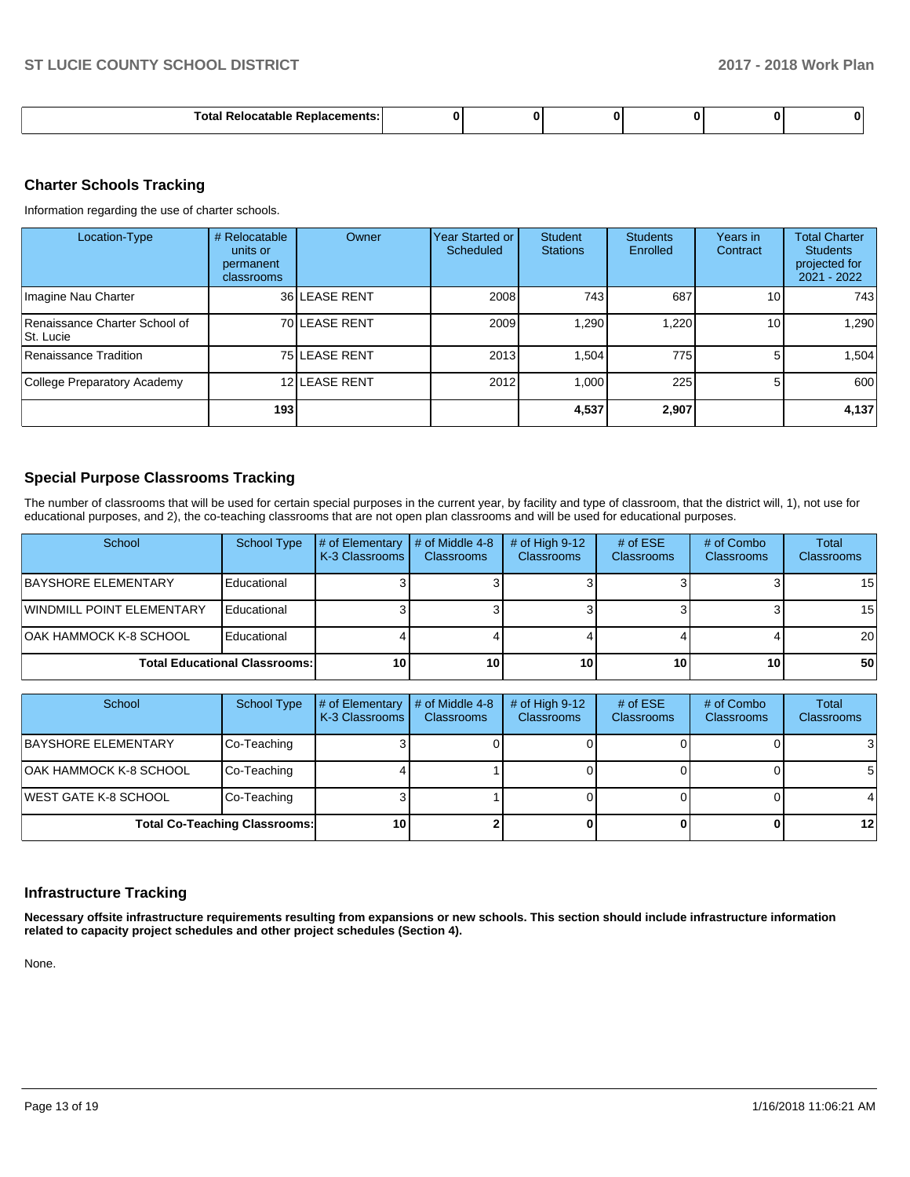| ш<br> |  |  |  |
|-------|--|--|--|
|       |  |  |  |

### **Charter Schools Tracking**

Information regarding the use of charter schools.

| Location-Type                              | # Relocatable<br>units or<br>permanent<br>classrooms | Owner         | Year Started or<br>Scheduled | <b>Student</b><br><b>Stations</b> | <b>Students</b><br>Enrolled | Years in<br>Contract | <b>Total Charter</b><br><b>Students</b><br>projected for<br>$2021 - 2022$ |
|--------------------------------------------|------------------------------------------------------|---------------|------------------------------|-----------------------------------|-----------------------------|----------------------|---------------------------------------------------------------------------|
| Imagine Nau Charter                        |                                                      | 36 LEASE RENT | 2008                         | 743                               | 687                         | 10 <sup>1</sup>      | 743                                                                       |
| Renaissance Charter School of<br>St. Lucie |                                                      | 70 LEASE RENT | 2009                         | 1,290                             | 1,220                       | 10 <sub>1</sub>      | 1,290                                                                     |
| Renaissance Tradition                      |                                                      | 75 LEASE RENT | 2013                         | 1.504                             | 775                         |                      | .504                                                                      |
| College Preparatory Academy                |                                                      | 12 LEASE RENT | 2012                         | 1.000                             | 225                         | 5.                   | 600                                                                       |
|                                            | 193                                                  |               |                              | 4,537                             | 2.907                       |                      | 4,137                                                                     |

# **Special Purpose Classrooms Tracking**

The number of classrooms that will be used for certain special purposes in the current year, by facility and type of classroom, that the district will, 1), not use for educational purposes, and 2), the co-teaching classrooms that are not open plan classrooms and will be used for educational purposes.

| School                               | <b>School Type</b> | # of Elementary<br>K-3 Classrooms | # of Middle 4-8<br><b>Classrooms</b> | # of High $9-12$<br><b>Classrooms</b> | # of $ESE$<br>Classrooms | # of Combo<br><b>Classrooms</b> | <b>Total</b><br><b>Classrooms</b> |
|--------------------------------------|--------------------|-----------------------------------|--------------------------------------|---------------------------------------|--------------------------|---------------------------------|-----------------------------------|
| <b>BAYSHORE ELEMENTARY</b>           | Educational        |                                   |                                      |                                       |                          |                                 | 15 <sup>1</sup>                   |
| <b>WINDMILL POINT ELEMENTARY</b>     | Educational        |                                   |                                      |                                       |                          |                                 | 15 <sup>1</sup>                   |
| <b>OAK HAMMOCK K-8 SCHOOL</b>        | Educational        |                                   |                                      |                                       |                          |                                 | <b>20</b>                         |
| <b>Total Educational Classrooms:</b> |                    | 10                                | 10                                   | 10                                    | 10                       | 10                              | 50                                |

| School                               | <b>School Type</b> | # of Elementary<br>K-3 Classrooms | # of Middle 4-8<br><b>Classrooms</b> | # of High $9-12$<br><b>Classrooms</b> | # of $ESE$<br><b>Classrooms</b> | # of Combo<br><b>Classrooms</b> | Total<br><b>Classrooms</b> |
|--------------------------------------|--------------------|-----------------------------------|--------------------------------------|---------------------------------------|---------------------------------|---------------------------------|----------------------------|
| BAYSHORE ELEMENTARY                  | Co-Teaching        |                                   |                                      |                                       |                                 |                                 | 31                         |
| IOAK HAMMOCK K-8 SCHOOL              | Co-Teaching        |                                   |                                      |                                       |                                 |                                 | 51                         |
| IWEST GATE K-8 SCHOOL                | Co-Teaching        |                                   |                                      |                                       |                                 |                                 |                            |
| <b>Total Co-Teaching Classrooms:</b> |                    | 10 <sup>1</sup>                   |                                      |                                       |                                 |                                 | 12 <sub>l</sub>            |

# **Infrastructure Tracking**

**Necessary offsite infrastructure requirements resulting from expansions or new schools. This section should include infrastructure information related to capacity project schedules and other project schedules (Section 4).** 

None.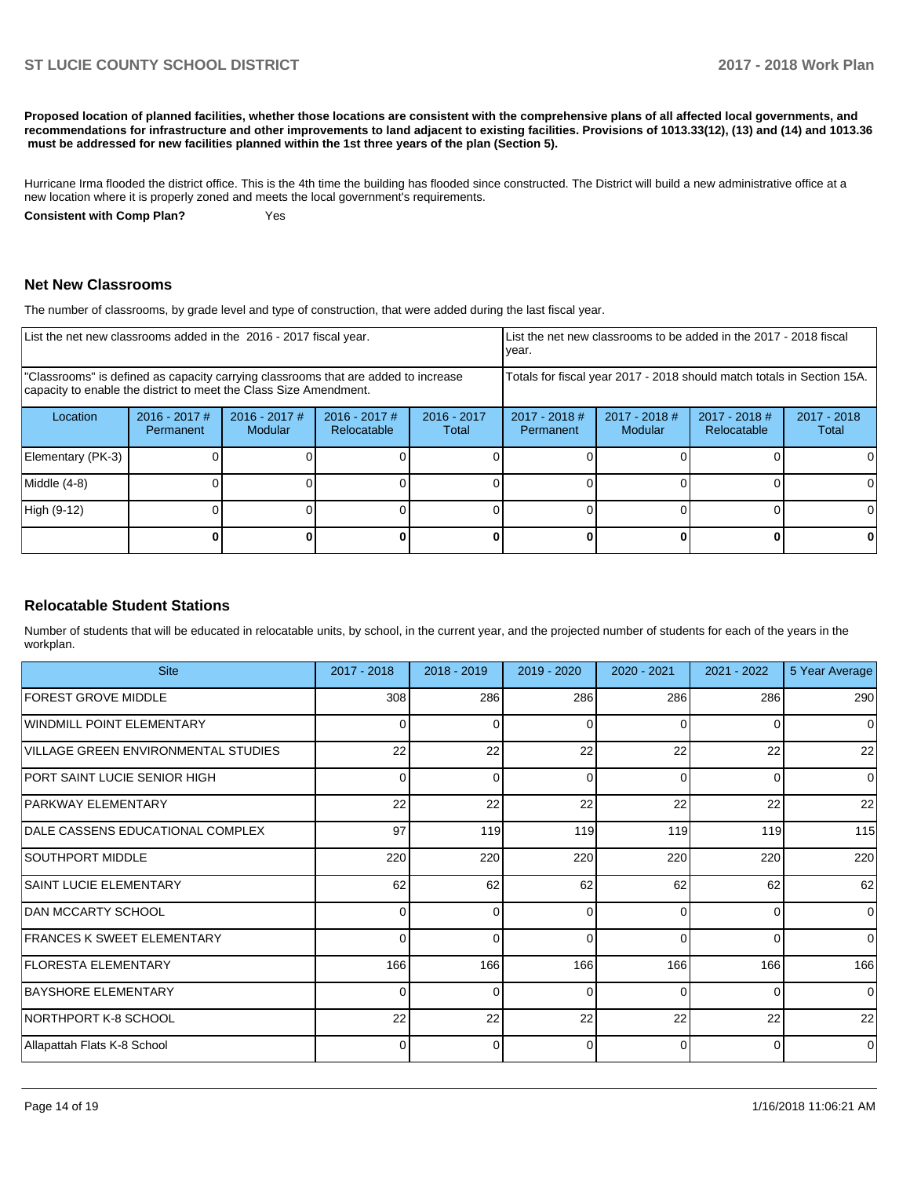**Proposed location of planned facilities, whether those locations are consistent with the comprehensive plans of all affected local governments, and recommendations for infrastructure and other improvements to land adjacent to existing facilities. Provisions of 1013.33(12), (13) and (14) and 1013.36 must be addressed for new facilities planned within the 1st three years of the plan (Section 5).** 

Hurricane Irma flooded the district office. This is the 4th time the building has flooded since constructed. The District will build a new administrative office at a new location where it is properly zoned and meets the local government's requirements.

**Consistent with Comp Plan?** Yes

#### **Net New Classrooms**

The number of classrooms, by grade level and type of construction, that were added during the last fiscal year.

| List the net new classrooms added in the 2016 - 2017 fiscal year. |                              |                                                                                                                                                         |                                |                        | List the net new classrooms to be added in the 2017 - 2018 fiscal<br>year. |                            |                                |                        |
|-------------------------------------------------------------------|------------------------------|---------------------------------------------------------------------------------------------------------------------------------------------------------|--------------------------------|------------------------|----------------------------------------------------------------------------|----------------------------|--------------------------------|------------------------|
|                                                                   |                              | "Classrooms" is defined as capacity carrying classrooms that are added to increase<br>capacity to enable the district to meet the Class Size Amendment. |                                |                        | Totals for fiscal year 2017 - 2018 should match totals in Section 15A.     |                            |                                |                        |
| Location                                                          | $2016 - 2017$ #<br>Permanent | 2016 - 2017 #<br>Modular                                                                                                                                | $2016 - 2017$ #<br>Relocatable | $2016 - 2017$<br>Total | $2017 - 2018$ #<br>Permanent                                               | $2017 - 2018$ #<br>Modular | $2017 - 2018$ #<br>Relocatable | $2017 - 2018$<br>Total |
| Elementary (PK-3)                                                 |                              |                                                                                                                                                         |                                |                        |                                                                            |                            |                                |                        |
| Middle (4-8)                                                      |                              |                                                                                                                                                         |                                |                        |                                                                            |                            |                                |                        |
| High (9-12)                                                       |                              |                                                                                                                                                         |                                |                        |                                                                            |                            |                                | $\Omega$               |
|                                                                   |                              |                                                                                                                                                         |                                |                        |                                                                            |                            |                                |                        |

# **Relocatable Student Stations**

Number of students that will be educated in relocatable units, by school, in the current year, and the projected number of students for each of the years in the workplan.

| <b>Site</b>                         | 2017 - 2018    | 2018 - 2019 | 2019 - 2020 | 2020 - 2021 | 2021 - 2022 | 5 Year Average |
|-------------------------------------|----------------|-------------|-------------|-------------|-------------|----------------|
| <b>FOREST GROVE MIDDLE</b>          | 308            | 286         | 286         | 286         | 286         | 290            |
| <b>WINDMILL POINT ELEMENTARY</b>    | $\Omega$       | 0           | 0           | 0           | 0           | $\Omega$       |
| VILLAGE GREEN ENVIRONMENTAL STUDIES | 22             | 22          | 22          | 22          | 22          | 22             |
| PORT SAINT LUCIE SENIOR HIGH        | $\overline{0}$ | 0           | 0           | $\Omega$    | 0           | 0              |
| <b>PARKWAY ELEMENTARY</b>           | 22             | 22          | 22          | 22          | 22          | 22             |
| DALE CASSENS EDUCATIONAL COMPLEX    | 97             | 119         | 119         | 119         | 119         | 115            |
| SOUTHPORT MIDDLE                    | 220            | 220         | 220         | 220         | 220         | 220            |
| <b>SAINT LUCIE ELEMENTARY</b>       | 62             | 62          | 62          | 62          | 62          | 62             |
| <b>IDAN MCCARTY SCHOOL</b>          | $\Omega$       | $\Omega$    | $\Omega$    | 0           | $\Omega$    | 0              |
| <b>IFRANCES K SWEET ELEMENTARY</b>  | $\Omega$       | $\Omega$    | $\Omega$    | O           | $\Omega$    | $\Omega$       |
| <b>IFLORESTA ELEMENTARY</b>         | 166            | 166         | 166         | 166         | 166         | 166            |
| <b>BAYSHORE ELEMENTARY</b>          | 0              | $\Omega$    | $\Omega$    | $\Omega$    | $\Omega$    | $\Omega$       |
| NORTHPORT K-8 SCHOOL                | 22             | 22          | 22          | 22          | 22          | 22             |
| Allapattah Flats K-8 School         | 0              | $\Omega$    | $\Omega$    | $\Omega$    | $\Omega$    | $\Omega$       |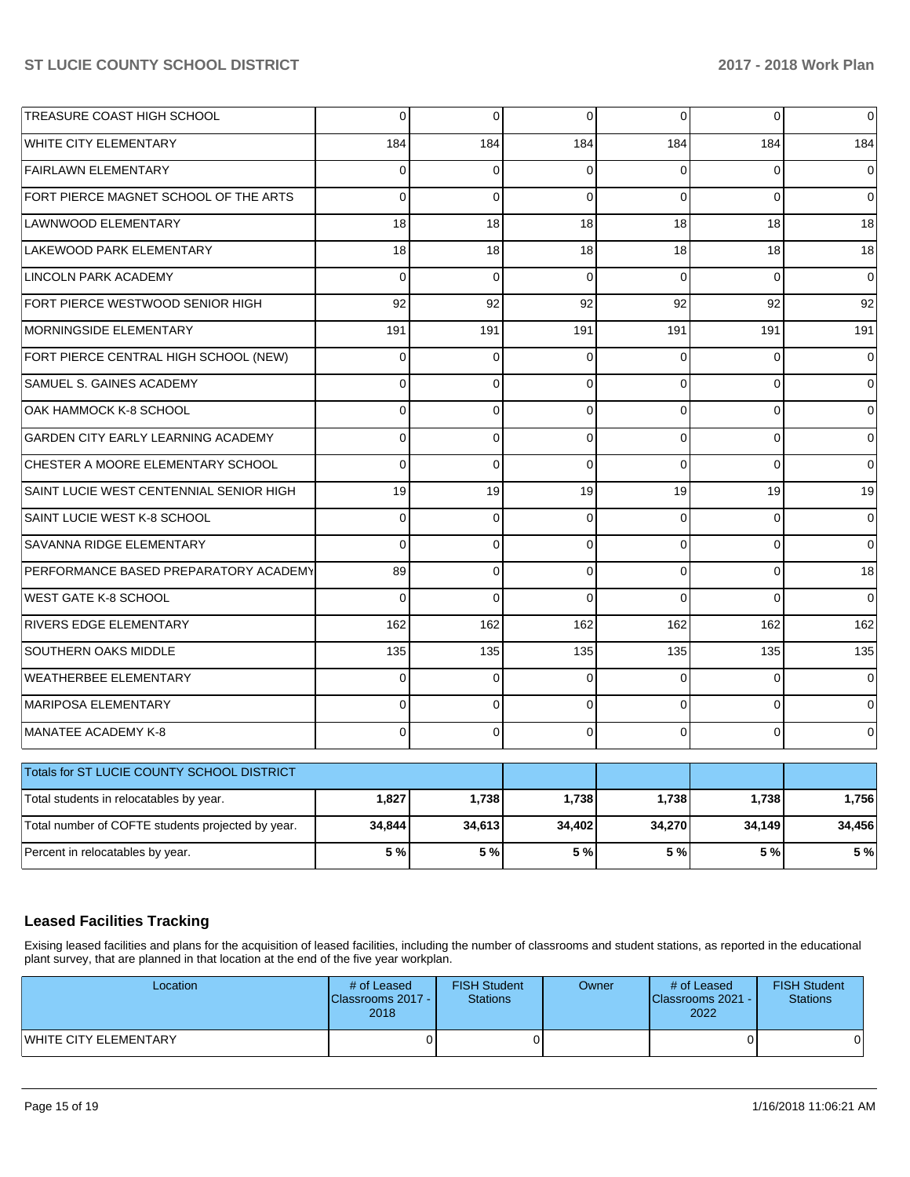| TREASURE COAST HIGH SCHOOL                        | $\overline{0}$ | $\mathbf 0$ | $\Omega$       | $\Omega$ | 0              | 0        |
|---------------------------------------------------|----------------|-------------|----------------|----------|----------------|----------|
| <b>WHITE CITY ELEMENTARY</b>                      | 184            | 184         | 184            | 184      | 184            | 184      |
| <b>FAIRLAWN ELEMENTARY</b>                        | 0              | $\mathbf 0$ | 0              | $\Omega$ | 0              | 0        |
| FORT PIERCE MAGNET SCHOOL OF THE ARTS             | $\Omega$       | $\Omega$    | $\Omega$       | $\Omega$ | $\Omega$       | $\Omega$ |
| <b>LAWNWOOD ELEMENTARY</b>                        | 18             | 18          | 18             | 18       | 18             | 18       |
| LAKEWOOD PARK ELEMENTARY                          | 18             | 18          | 18             | 18       | 18             | 18       |
| <b>LINCOLN PARK ACADEMY</b>                       | $\Omega$       | $\mathbf 0$ | $\Omega$       | $\Omega$ | $\Omega$       | $\Omega$ |
| FORT PIERCE WESTWOOD SENIOR HIGH                  | 92             | 92          | 92             | 92       | 92             | 92       |
| MORNINGSIDE ELEMENTARY                            | 191            | 191         | 191            | 191      | 191            | 191      |
| FORT PIERCE CENTRAL HIGH SCHOOL (NEW)             | $\overline{0}$ | $\mathbf 0$ | $\mathbf 0$    | $\Omega$ | $\mathbf 0$    | $\Omega$ |
| SAMUEL S. GAINES ACADEMY                          | 0              | $\mathbf 0$ | 0              | $\Omega$ | 0              | $\Omega$ |
| OAK HAMMOCK K-8 SCHOOL                            | $\Omega$       | $\Omega$    | 0              | $\Omega$ | 0              | $\Omega$ |
| GARDEN CITY EARLY LEARNING ACADEMY                | $\Omega$       | $\Omega$    | $\Omega$       | $\Omega$ | $\Omega$       | 0        |
| CHESTER A MOORE ELEMENTARY SCHOOL                 | 0              | $\mathbf 0$ | $\overline{0}$ | $\Omega$ | $\Omega$       | 0        |
| SAINT LUCIE WEST CENTENNIAL SENIOR HIGH           | 19             | 19          | 19             | 19       | 19             | 19       |
| SAINT LUCIE WEST K-8 SCHOOL                       | $\Omega$       | $\Omega$    | $\Omega$       | $\Omega$ | $\Omega$       | $\Omega$ |
| SAVANNA RIDGE ELEMENTARY                          | $\Omega$       | $\mathbf 0$ | $\mathbf 0$    | $\Omega$ | 0              | $\Omega$ |
| PERFORMANCE BASED PREPARATORY ACADEMY             | 89             | $\Omega$    | $\Omega$       | $\Omega$ | $\overline{0}$ | 18       |
| <b>WEST GATE K-8 SCHOOL</b>                       | $\Omega$       | $\Omega$    | $\Omega$       | $\Omega$ | $\Omega$       | $\Omega$ |
| RIVERS EDGE ELEMENTARY                            | 162            | 162         | 162            | 162      | 162            | 162      |
| SOUTHERN OAKS MIDDLE                              | 135            | 135         | 135            | 135      | 135            | 135      |
| <b>WEATHERBEE ELEMENTARY</b>                      | $\Omega$       | $\Omega$    | $\Omega$       | $\Omega$ | $\Omega$       | $\Omega$ |
| MARIPOSA ELEMENTARY                               | $\Omega$       | $\Omega$    | $\Omega$       | $\Omega$ | $\Omega$       | $\Omega$ |
| MANATEE ACADEMY K-8                               | $\Omega$       | $\mathbf 0$ | $\Omega$       | $\Omega$ | 0              | 0        |
| Totals for ST LUCIE COUNTY SCHOOL DISTRICT        |                |             |                |          |                |          |
| Total students in relocatables by year.           | 1,827          | 1,738       | 1,738          | 1,738    | 1,738          | 1,756    |
| Total number of COFTE students projected by year. | 34,844         | 34,613      | 34,402         | 34,270   | 34,149         | 34,456   |

# **Leased Facilities Tracking**

Exising leased facilities and plans for the acquisition of leased facilities, including the number of classrooms and student stations, as reported in the educational plant survey, that are planned in that location at the end of the five year workplan.

Percent in relocatables by year. **5 % 5 % 5 % 5 % 5 % 5 %**

| Location                     | # of Leased<br><b>IClassrooms 2017 - I</b><br>2018 | <b>FISH Student</b><br>Stations | Owner | # of Leased<br><b>IClassrooms 2021 - I</b><br>2022 | <b>FISH Student</b><br><b>Stations</b> |
|------------------------------|----------------------------------------------------|---------------------------------|-------|----------------------------------------------------|----------------------------------------|
| <b>WHITE CITY ELEMENTARY</b> |                                                    |                                 |       |                                                    | 01                                     |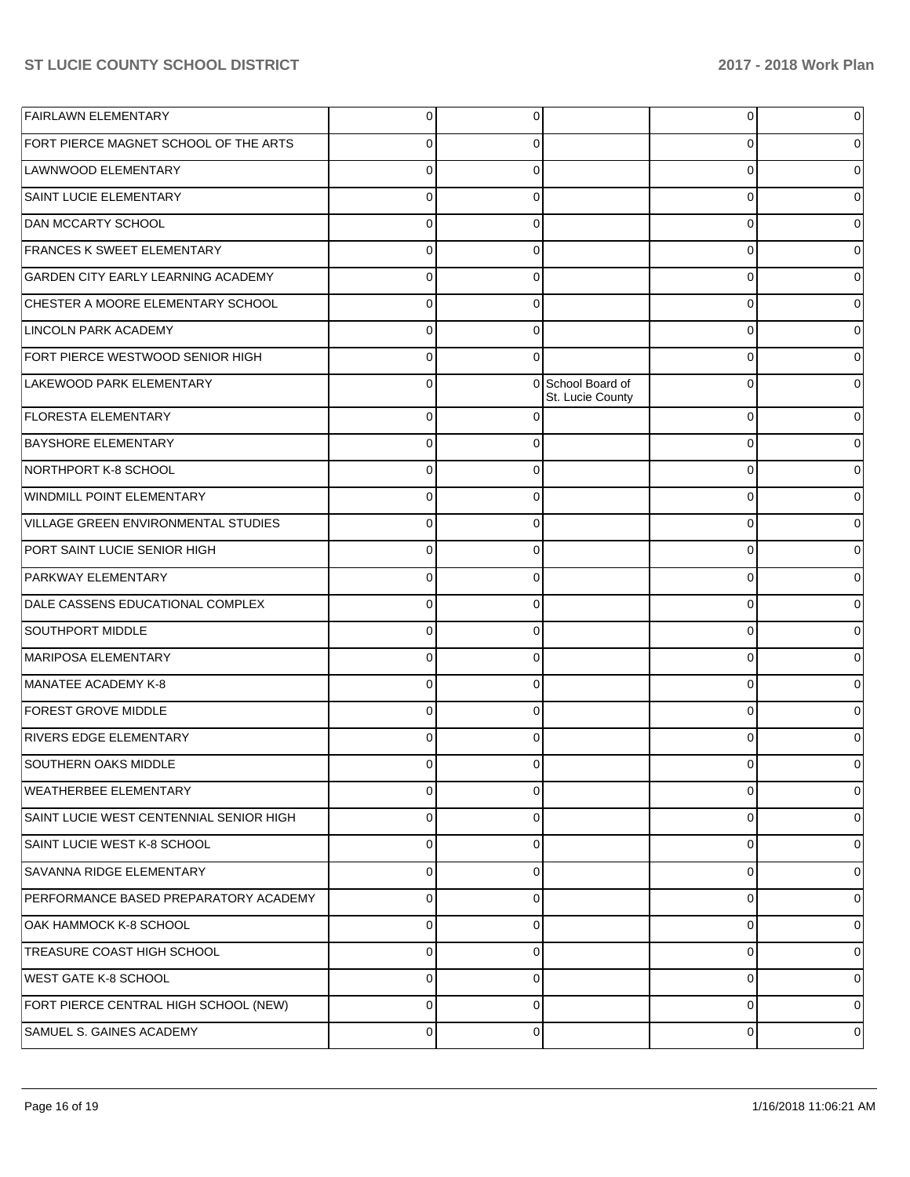| <b>FAIRLAWN ELEMENTARY</b>              | $\Omega$ | 0           |                                       | $\overline{0}$ | 0 |
|-----------------------------------------|----------|-------------|---------------------------------------|----------------|---|
| FORT PIERCE MAGNET SCHOOL OF THE ARTS   | $\Omega$ | 0           |                                       | 0              |   |
| LAWNWOOD ELEMENTARY                     | $\Omega$ | 0           |                                       | 0              |   |
| SAINT LUCIE ELEMENTARY                  | $\Omega$ | $\Omega$    |                                       | 0              | 0 |
| <b>DAN MCCARTY SCHOOL</b>               | $\Omega$ | 0           |                                       | 0              |   |
| <b>FRANCES K SWEET ELEMENTARY</b>       | $\Omega$ | 0           |                                       | 0              |   |
| GARDEN CITY EARLY LEARNING ACADEMY      | $\Omega$ | 0           |                                       | 0              |   |
| CHESTER A MOORE ELEMENTARY SCHOOL       | $\Omega$ | $\Omega$    |                                       | 0              | 0 |
| <b>LINCOLN PARK ACADEMY</b>             | $\Omega$ | 0           |                                       | 0              |   |
| FORT PIERCE WESTWOOD SENIOR HIGH        | $\Omega$ | $\Omega$    |                                       | 0              |   |
| LAKEWOOD PARK ELEMENTARY                | 0        |             | 0 School Board of<br>St. Lucie County | $\Omega$       |   |
| <b>FLORESTA ELEMENTARY</b>              | $\Omega$ | $\Omega$    |                                       | $\mathbf 0$    |   |
| <b>BAYSHORE ELEMENTARY</b>              | $\Omega$ | 0           |                                       | 0              |   |
| NORTHPORT K-8 SCHOOL                    | $\Omega$ | 0           |                                       | $\Omega$       |   |
| WINDMILL POINT ELEMENTARY               | $\Omega$ | 0           |                                       | 0              |   |
| VILLAGE GREEN ENVIRONMENTAL STUDIES     | $\Omega$ | 0           |                                       | $\Omega$       |   |
| PORT SAINT LUCIE SENIOR HIGH            | $\Omega$ | 0           |                                       | 0              |   |
| PARKWAY ELEMENTARY                      | $\Omega$ | 0           |                                       | 0              |   |
| DALE CASSENS EDUCATIONAL COMPLEX        | $\Omega$ | 0           |                                       | 0              |   |
| SOUTHPORT MIDDLE                        | $\Omega$ | 0           |                                       | $\Omega$       |   |
| MARIPOSA ELEMENTARY                     | $\Omega$ | 0           |                                       | 0              |   |
| MANATEE ACADEMY K-8                     | $\Omega$ | 0           |                                       | 0              |   |
| <b>FOREST GROVE MIDDLE</b>              | $\Omega$ | 0           |                                       | 0              |   |
| <b>RIVERS EDGE ELEMENTARY</b>           | $\Omega$ | 0           |                                       | $\Omega$       |   |
| SOUTHERN OAKS MIDDLE                    | 0        | 0           |                                       | 0              | 0 |
| <b>WEATHERBEE ELEMENTARY</b>            | 0        | 0           |                                       | 0              | 0 |
| SAINT LUCIE WEST CENTENNIAL SENIOR HIGH | 0        | $\mathbf 0$ |                                       | 0              | 0 |
| SAINT LUCIE WEST K-8 SCHOOL             | 0        | 0           |                                       | 0              | 0 |
| SAVANNA RIDGE ELEMENTARY                | 0        | $\mathbf 0$ |                                       | 0              | 0 |
| PERFORMANCE BASED PREPARATORY ACADEMY   | 0        | 0           |                                       | 0              | 0 |
| OAK HAMMOCK K-8 SCHOOL                  | 0        | 0           |                                       | 0              | 0 |
| TREASURE COAST HIGH SCHOOL              | 0        | 0           |                                       | 0              | 0 |
| <b>WEST GATE K-8 SCHOOL</b>             | 0        | $\mathbf 0$ |                                       | 0              | 0 |
| FORT PIERCE CENTRAL HIGH SCHOOL (NEW)   | 0        | 0           |                                       | 0              | 0 |
| SAMUEL S. GAINES ACADEMY                | 0        | $\mathbf 0$ |                                       | 0              | 0 |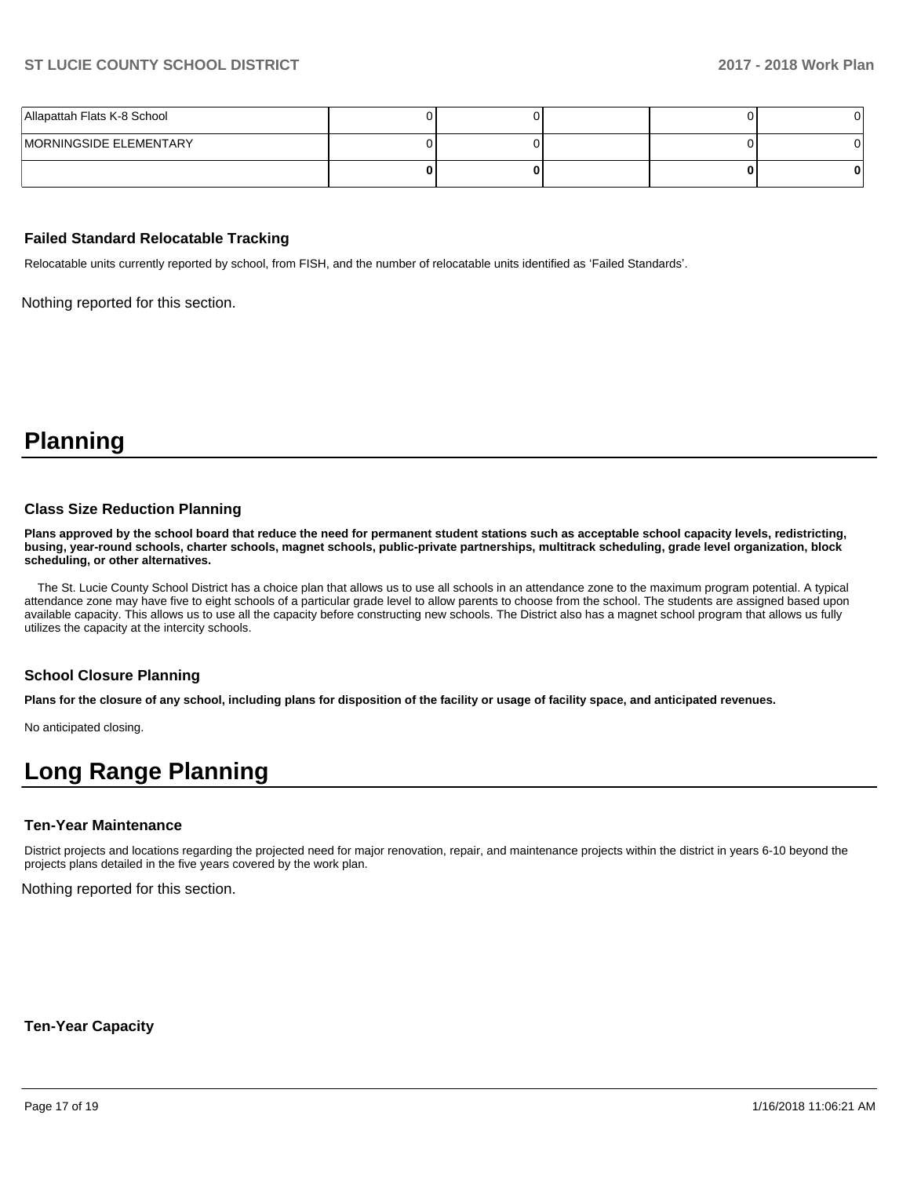| Allapattah Flats K-8 School |  |  |  |
|-----------------------------|--|--|--|
| MORNINGSIDE ELEMENTARY      |  |  |  |
|                             |  |  |  |

#### **Failed Standard Relocatable Tracking**

Relocatable units currently reported by school, from FISH, and the number of relocatable units identified as 'Failed Standards'.

Nothing reported for this section.

**Planning**

#### **Class Size Reduction Planning**

**Plans approved by the school board that reduce the need for permanent student stations such as acceptable school capacity levels, redistricting, busing, year-round schools, charter schools, magnet schools, public-private partnerships, multitrack scheduling, grade level organization, block scheduling, or other alternatives.**

 The St. Lucie County School District has a choice plan that allows us to use all schools in an attendance zone to the maximum program potential. A typical attendance zone may have five to eight schools of a particular grade level to allow parents to choose from the school. The students are assigned based upon available capacity. This allows us to use all the capacity before constructing new schools. The District also has a magnet school program that allows us fully utilizes the capacity at the intercity schools.

#### **School Closure Planning**

**Plans for the closure of any school, including plans for disposition of the facility or usage of facility space, and anticipated revenues.** 

No anticipated closing.

# **Long Range Planning**

### **Ten-Year Maintenance**

District projects and locations regarding the projected need for major renovation, repair, and maintenance projects within the district in years 6-10 beyond the projects plans detailed in the five years covered by the work plan.

Nothing reported for this section.

**Ten-Year Capacity**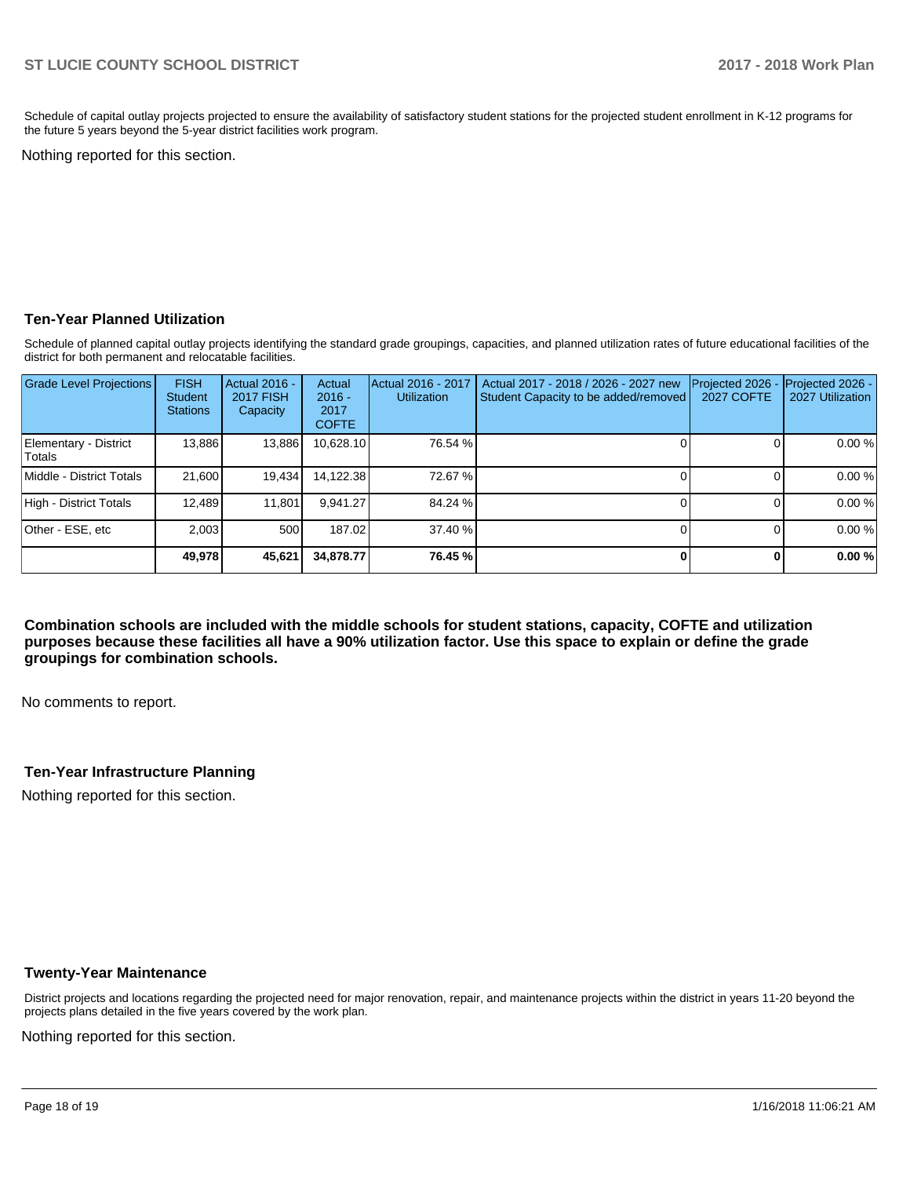Schedule of capital outlay projects projected to ensure the availability of satisfactory student stations for the projected student enrollment in K-12 programs for the future 5 years beyond the 5-year district facilities work program.

Nothing reported for this section.

### **Ten-Year Planned Utilization**

Schedule of planned capital outlay projects identifying the standard grade groupings, capacities, and planned utilization rates of future educational facilities of the district for both permanent and relocatable facilities.

| Grade Level Projections         | <b>FISH</b><br><b>Student</b><br><b>Stations</b> | Actual 2016 -<br><b>2017 FISH</b><br>Capacity | Actual<br>$2016 -$<br>2017<br><b>COFTE</b> | Actual 2016 - 2017<br><b>Utilization</b> | Actual 2017 - 2018 / 2026 - 2027 new<br>Student Capacity to be added/removed | Projected 2026<br><b>2027 COFTE</b> | Projected 2026 -<br>2027 Utilization |
|---------------------------------|--------------------------------------------------|-----------------------------------------------|--------------------------------------------|------------------------------------------|------------------------------------------------------------------------------|-------------------------------------|--------------------------------------|
| Elementary - District<br>Totals | 13,886                                           | 13,886                                        | 10,628.10                                  | 76.54 %                                  |                                                                              |                                     | 0.00%                                |
| Middle - District Totals        | 21.600                                           | 19,434                                        | 14,122.38                                  | 72.67 %                                  |                                                                              |                                     | 0.00%                                |
| High - District Totals          | 12.489                                           | 11.801                                        | 9.941.27                                   | 84.24 %                                  |                                                                              |                                     | 0.00%                                |
| Other - ESE, etc                | 2.003                                            | 500                                           | 187.02                                     | 37.40 %                                  |                                                                              |                                     | 0.00%                                |
|                                 | 49,978                                           | 45,621                                        | 34,878,77                                  | 76.45 %                                  |                                                                              |                                     | 0.00%                                |

**Combination schools are included with the middle schools for student stations, capacity, COFTE and utilization purposes because these facilities all have a 90% utilization factor. Use this space to explain or define the grade groupings for combination schools.** 

No comments to report.

# **Ten-Year Infrastructure Planning**

Nothing reported for this section.

#### **Twenty-Year Maintenance**

District projects and locations regarding the projected need for major renovation, repair, and maintenance projects within the district in years 11-20 beyond the projects plans detailed in the five years covered by the work plan.

Nothing reported for this section.